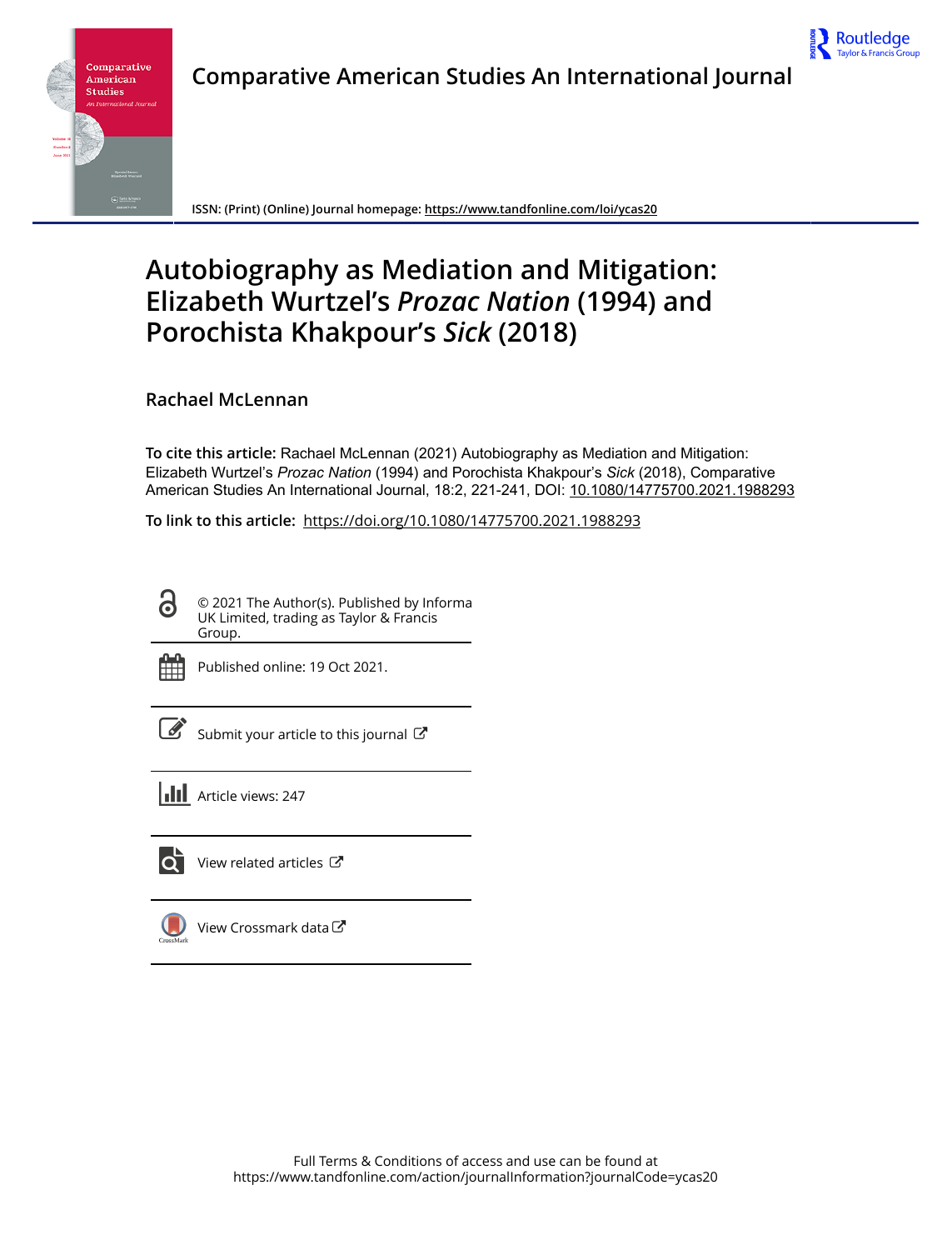

Routledge Taylor & Francis O



**ISSN: (Print) (Online) Journal homepage:<https://www.tandfonline.com/loi/ycas20>**

# **Autobiography as Mediation and Mitigation: Elizabeth Wurtzel's** *Prozac Nation* **(1994) and Porochista Khakpour's** *Sick* **(2018)**

**Rachael McLennan**

**To cite this article:** Rachael McLennan (2021) Autobiography as Mediation and Mitigation: Elizabeth Wurtzel's Prozac Nation (1994) and Porochista Khakpour's Sick (2018), Comparative American Studies An International Journal, 18:2, 221-241, DOI: [10.1080/14775700.2021.1988293](https://www.tandfonline.com/action/showCitFormats?doi=10.1080/14775700.2021.1988293)

**To link to this article:** <https://doi.org/10.1080/14775700.2021.1988293>

© 2021 The Author(s). Published by Informa UK Limited, trading as Taylor & Francis Group.



 $\bullet$ 

Published online: 19 Oct 2021.

[Submit your article to this journal](https://www.tandfonline.com/action/authorSubmission?journalCode=ycas20&show=instructions)  $\mathbb{Z}$ 

**III** Article views: 247



[View related articles](https://www.tandfonline.com/doi/mlt/10.1080/14775700.2021.1988293)  $\mathbb{Z}$ 

[View Crossmark data](http://crossmark.crossref.org/dialog/?doi=10.1080/14775700.2021.1988293&domain=pdf&date_stamp=2021-10-19)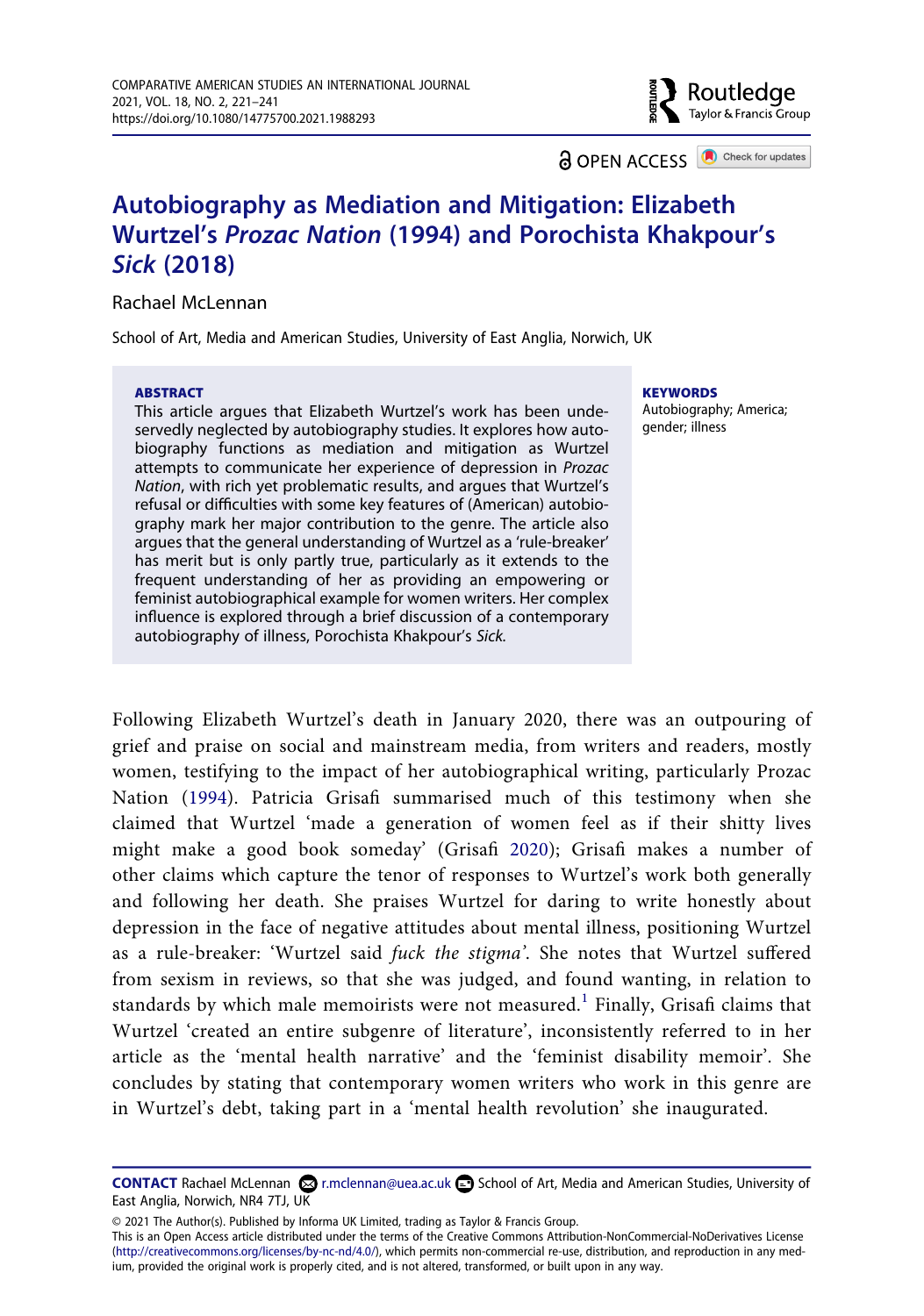**a** OPEN ACCESS **a** Check for updates

Routledge Taylor & Francis Group

# **Autobiography as Mediation and Mitigation: Elizabeth Wurtzel's** *Prozac Nation* **(1994) and Porochista Khakpour's**  *Sick* **(2018)**

Rachael McLennan

School of Art, Media and American Studies, University of East Anglia, Norwich, UK

#### **ABSTRACT**

This article argues that Elizabeth Wurtzel's work has been undeservedly neglected by autobiography studies. It explores how autobiography functions as mediation and mitigation as Wurtzel attempts to communicate her experience of depression in *Prozac Nation*, with rich yet problematic results, and argues that Wurtzel's refusal or difficulties with some key features of (American) autobiography mark her major contribution to the genre. The article also argues that the general understanding of Wurtzel as a 'rule-breaker' has merit but is only partly true, particularly as it extends to the frequent understanding of her as providing an empowering or feminist autobiographical example for women writers. Her complex influence is explored through a brief discussion of a contemporary autobiography of illness, Porochista Khakpour's *Sick.*

**KEYWORDS**  Autobiography; America; gender; illness

<span id="page-1-1"></span><span id="page-1-0"></span>Following Elizabeth Wurtzel's death in January 2020, there was an outpouring of grief and praise on social and mainstream media, from writers and readers, mostly women, testifying to the impact of her autobiographical writing, particularly Prozac Nation ([1994](#page-20-0)). Patricia Grisafi summarised much of this testimony when she claimed that Wurtzel 'made a generation of women feel as if their shitty lives might make a good book someday' (Grisafi [2020\)](#page-20-1); Grisafi makes a number of other claims which capture the tenor of responses to Wurtzel's work both generally and following her death. She praises Wurtzel for daring to write honestly about depression in the face of negative attitudes about mental illness, positioning Wurtzel as a rule-breaker: 'Wurtzel said *fuck the stigma'*. She notes that Wurtzel suffered from sexism in reviews, so that she was judged, and found wanting, in relation to standards by which male memoirists were not measured.<sup>[1](#page-19-0)</sup> Finally, Grisafi claims that Wurtzel 'created an entire subgenre of literature', inconsistently referred to in her article as the 'mental health narrative' and the 'feminist disability memoir'. She concludes by stating that contemporary women writers who work in this genre are in Wurtzel's debt, taking part in a 'mental health revolution' she inaugurated.

© 2021 The Author(s). Published by Informa UK Limited, trading as Taylor & Francis Group.

This is an Open Access article distributed under the terms of the Creative Commons Attribution-NonCommercial-NoDerivatives License (http://creativecommons.org/licenses/by-nc-nd/4.0/), which permits non-commercial re-use, distribution, and reproduction in any medium, provided the original work is properly cited, and is not altered, transformed, or built upon in any way.

**CONTACT** Rachael McLennan **Co**ntennan and American Studies, University of East Anglia, Norwich, NR4 7TJ, UK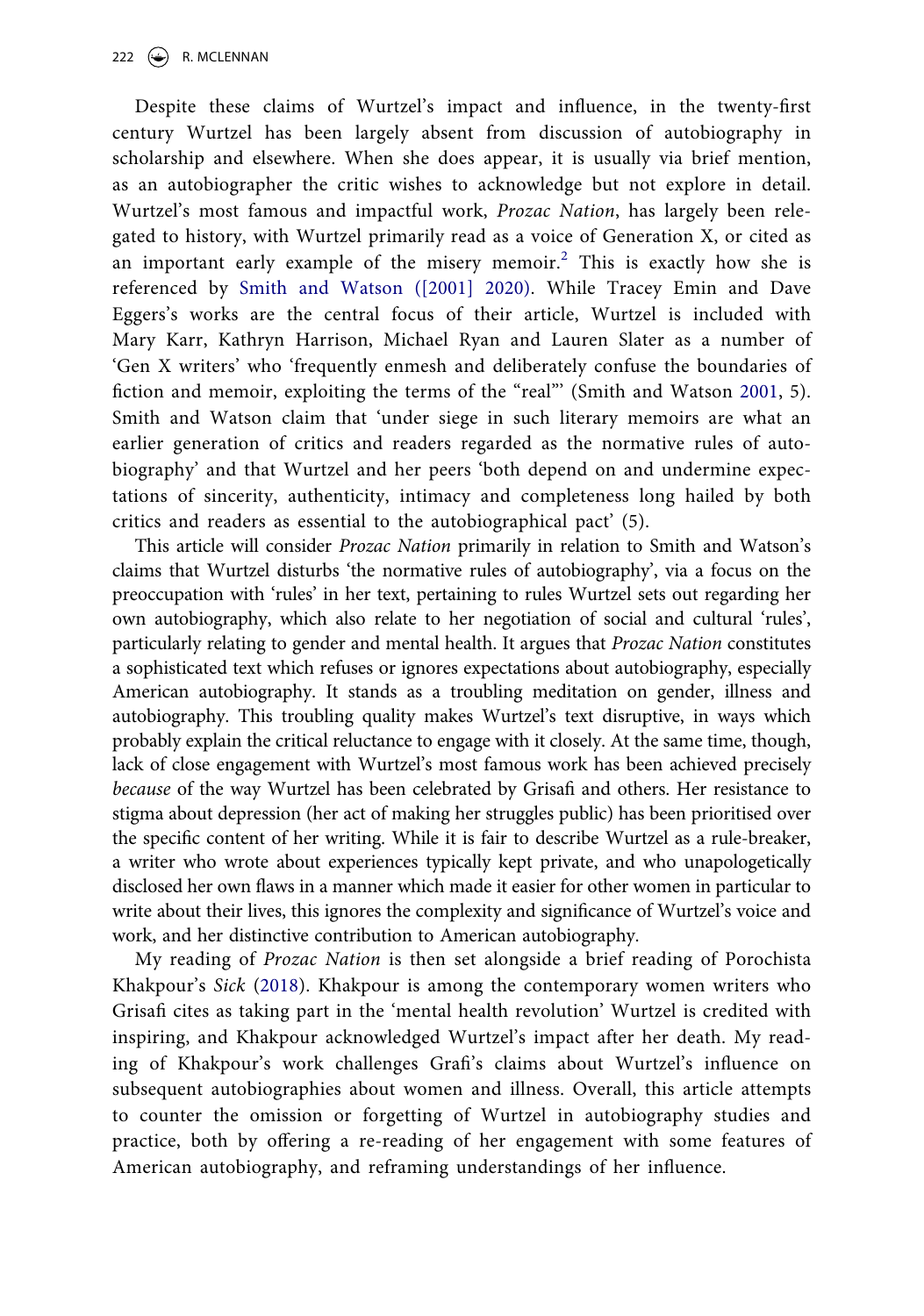<span id="page-2-1"></span>Despite these claims of Wurtzel's impact and influence, in the twenty-first century Wurtzel has been largely absent from discussion of autobiography in scholarship and elsewhere. When she does appear, it is usually via brief mention, as an autobiographer the critic wishes to acknowledge but not explore in detail. Wurtzel's most famous and impactful work, *Prozac Nation*, has largely been relegated to history, with Wurtzel primarily read as a voice of Generation X, or cited as an important early example of the misery memoir.<sup>[2](#page-19-1)</sup> This is exactly how she is referenced by [Smith and Watson \(\[2001\] 2020\)](#page-20-2). While Tracey Emin and Dave Eggers's works are the central focus of their article, Wurtzel is included with Mary Karr, Kathryn Harrison, Michael Ryan and Lauren Slater as a number of 'Gen X writers' who 'frequently enmesh and deliberately confuse the boundaries of fiction and memoir, exploiting the terms of the "real"' (Smith and Watson [2001,](#page-20-3) 5). Smith and Watson claim that 'under siege in such literary memoirs are what an earlier generation of critics and readers regarded as the normative rules of autobiography' and that Wurtzel and her peers 'both depend on and undermine expectations of sincerity, authenticity, intimacy and completeness long hailed by both critics and readers as essential to the autobiographical pact' (5).

<span id="page-2-2"></span>This article will consider *Prozac Nation* primarily in relation to Smith and Watson's claims that Wurtzel disturbs 'the normative rules of autobiography', via a focus on the preoccupation with 'rules' in her text, pertaining to rules Wurtzel sets out regarding her own autobiography, which also relate to her negotiation of social and cultural 'rules', particularly relating to gender and mental health. It argues that *Prozac Nation* constitutes a sophisticated text which refuses or ignores expectations about autobiography, especially American autobiography. It stands as a troubling meditation on gender, illness and autobiography. This troubling quality makes Wurtzel's text disruptive, in ways which probably explain the critical reluctance to engage with it closely. At the same time, though, lack of close engagement with Wurtzel's most famous work has been achieved precisely *because* of the way Wurtzel has been celebrated by Grisafi and others. Her resistance to stigma about depression (her act of making her struggles public) has been prioritised over the specific content of her writing. While it is fair to describe Wurtzel as a rule-breaker, a writer who wrote about experiences typically kept private, and who unapologetically disclosed her own flaws in a manner which made it easier for other women in particular to write about their lives, this ignores the complexity and significance of Wurtzel's voice and work, and her distinctive contribution to American autobiography.

<span id="page-2-0"></span>My reading of *Prozac Nation* is then set alongside a brief reading of Porochista Khakpour's *Sick* ([2018\)](#page-20-4). Khakpour is among the contemporary women writers who Grisafi cites as taking part in the 'mental health revolution' Wurtzel is credited with inspiring, and Khakpour acknowledged Wurtzel's impact after her death. My reading of Khakpour's work challenges Grafi's claims about Wurtzel's influence on subsequent autobiographies about women and illness. Overall, this article attempts to counter the omission or forgetting of Wurtzel in autobiography studies and practice, both by offering a re-reading of her engagement with some features of American autobiography, and reframing understandings of her influence.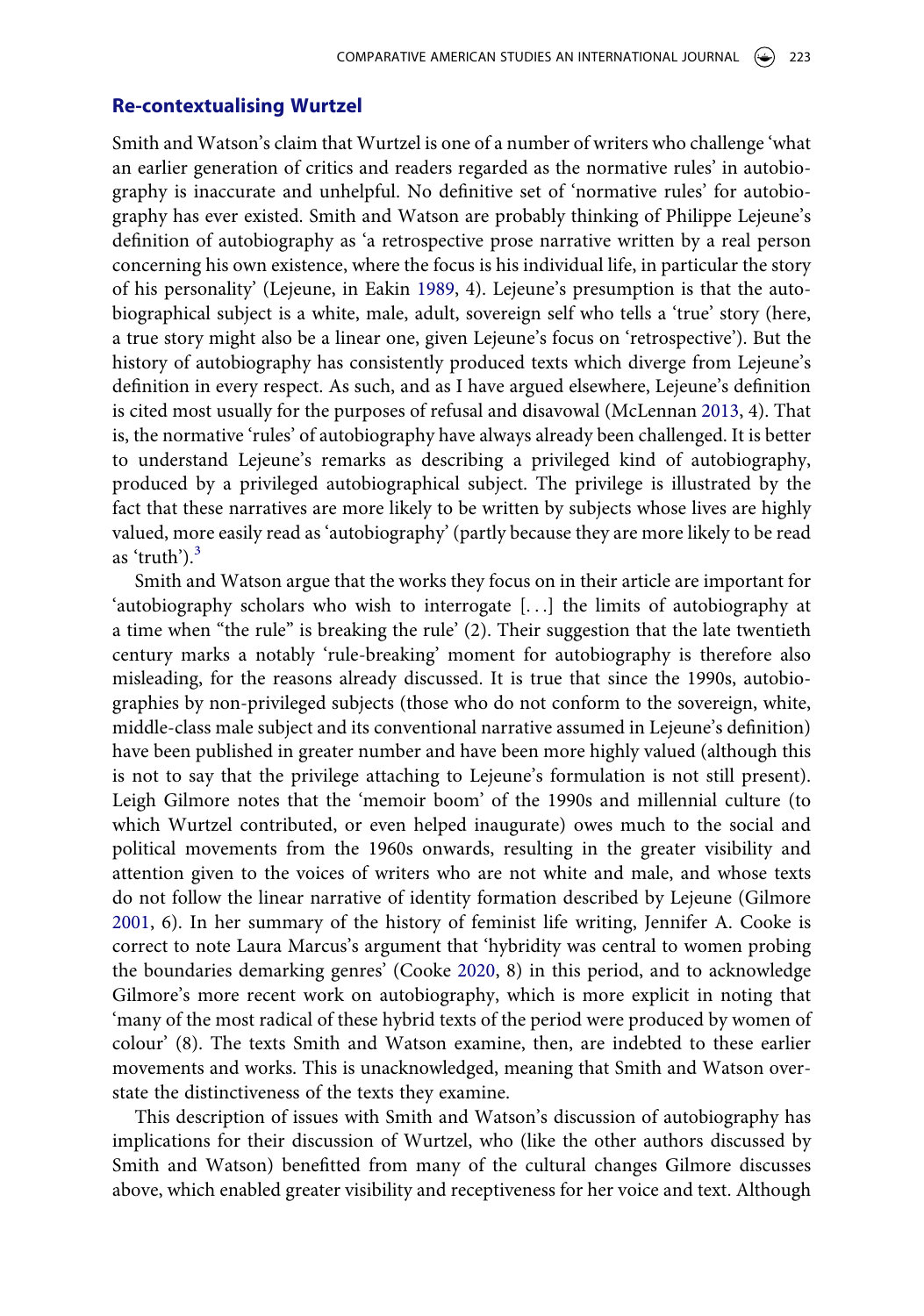#### **Re-contextualising Wurtzel**

<span id="page-3-1"></span>Smith and Watson's claim that Wurtzel is one of a number of writers who challenge 'what an earlier generation of critics and readers regarded as the normative rules' in autobiography is inaccurate and unhelpful. No definitive set of 'normative rules' for autobiography has ever existed. Smith and Watson are probably thinking of Philippe Lejeune's definition of autobiography as 'a retrospective prose narrative written by a real person concerning his own existence, where the focus is his individual life, in particular the story of his personality' (Lejeune, in Eakin [1989,](#page-20-5) 4). Lejeune's presumption is that the autobiographical subject is a white, male, adult, sovereign self who tells a 'true' story (here, a true story might also be a linear one, given Lejeune's focus on 'retrospective'). But the history of autobiography has consistently produced texts which diverge from Lejeune's definition in every respect. As such, and as I have argued elsewhere, Lejeune's definition is cited most usually for the purposes of refusal and disavowal (McLennan [2013,](#page-20-6) 4). That is, the normative 'rules' of autobiography have always already been challenged. It is better to understand Lejeune's remarks as describing a privileged kind of autobiography, produced by a privileged autobiographical subject. The privilege is illustrated by the fact that these narratives are more likely to be written by subjects whose lives are highly valued, more easily read as 'autobiography' (partly because they are more likely to be read as 'truth'). $3$ 

<span id="page-3-3"></span>Smith and Watson argue that the works they focus on in their article are important for 'autobiography scholars who wish to interrogate [. . .] the limits of autobiography at a time when "the rule" is breaking the rule' (2). Their suggestion that the late twentieth century marks a notably 'rule-breaking' moment for autobiography is therefore also misleading, for the reasons already discussed. It is true that since the 1990s, autobiographies by non-privileged subjects (those who do not conform to the sovereign, white, middle-class male subject and its conventional narrative assumed in Lejeune's definition) have been published in greater number and have been more highly valued (although this is not to say that the privilege attaching to Lejeune's formulation is not still present). Leigh Gilmore notes that the 'memoir boom' of the 1990s and millennial culture (to which Wurtzel contributed, or even helped inaugurate) owes much to the social and political movements from the 1960s onwards, resulting in the greater visibility and attention given to the voices of writers who are not white and male, and whose texts do not follow the linear narrative of identity formation described by Lejeune (Gilmore [2001](#page-20-7), 6). In her summary of the history of feminist life writing, Jennifer A. Cooke is correct to note Laura Marcus's argument that 'hybridity was central to women probing the boundaries demarking genres' (Cooke [2020,](#page-20-8) 8) in this period, and to acknowledge Gilmore's more recent work on autobiography, which is more explicit in noting that 'many of the most radical of these hybrid texts of the period were produced by women of colour' (8). The texts Smith and Watson examine, then, are indebted to these earlier movements and works. This is unacknowledged, meaning that Smith and Watson overstate the distinctiveness of the texts they examine.

<span id="page-3-2"></span><span id="page-3-0"></span>This description of issues with Smith and Watson's discussion of autobiography has implications for their discussion of Wurtzel, who (like the other authors discussed by Smith and Watson) benefitted from many of the cultural changes Gilmore discusses above, which enabled greater visibility and receptiveness for her voice and text. Although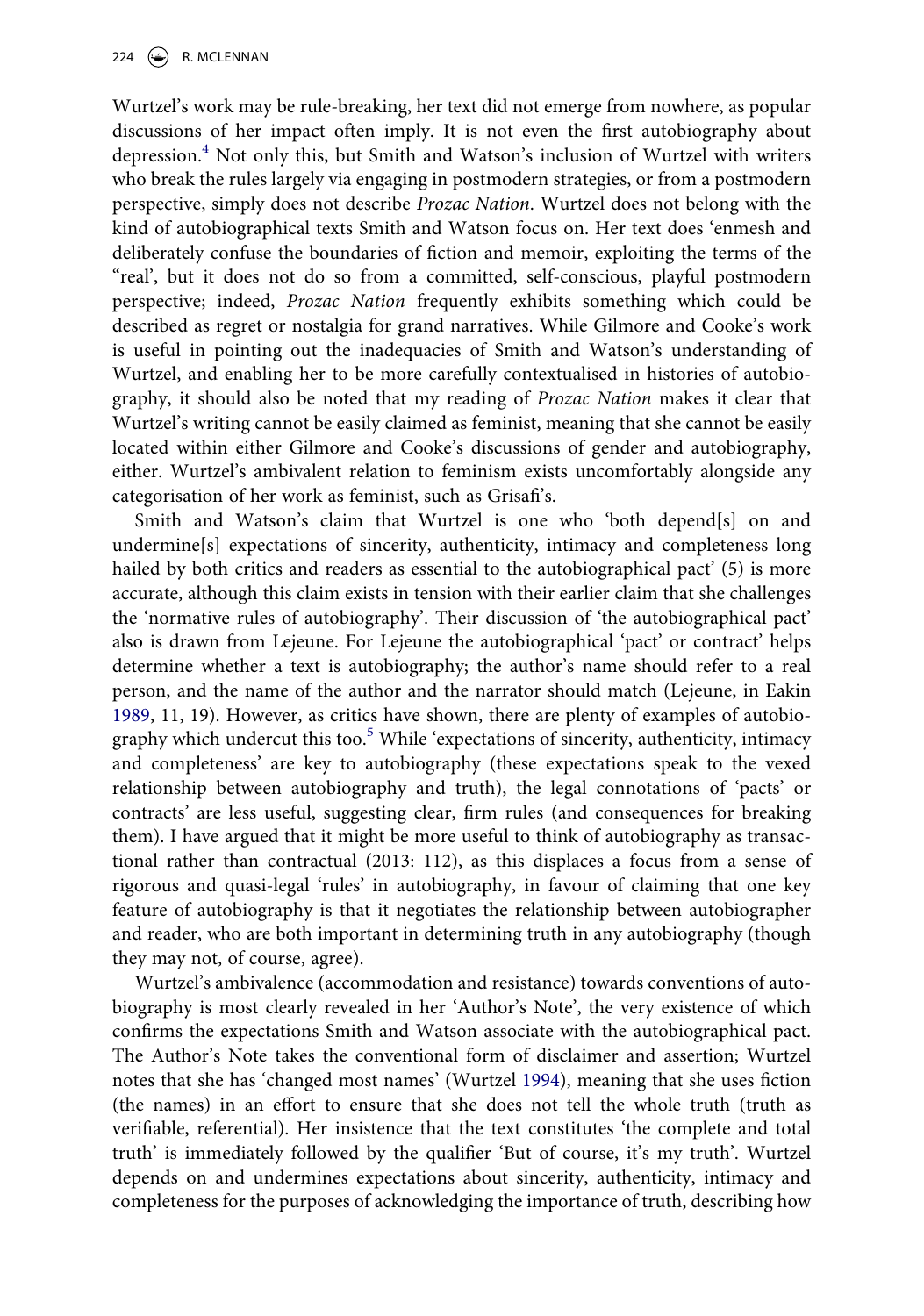Wurtzel's work may be rule-breaking, her text did not emerge from nowhere, as popular discussions of her impact often imply. It is not even the first autobiography about depression.[4](#page-19-3) Not only this, but Smith and Watson's inclusion of Wurtzel with writers who break the rules largely via engaging in postmodern strategies, or from a postmodern perspective, simply does not describe *Prozac Nation*. Wurtzel does not belong with the kind of autobiographical texts Smith and Watson focus on. Her text does 'enmesh and deliberately confuse the boundaries of fiction and memoir, exploiting the terms of the "real', but it does not do so from a committed, self-conscious, playful postmodern perspective; indeed, *Prozac Nation* frequently exhibits something which could be described as regret or nostalgia for grand narratives. While Gilmore and Cooke's work is useful in pointing out the inadequacies of Smith and Watson's understanding of Wurtzel, and enabling her to be more carefully contextualised in histories of autobiography, it should also be noted that my reading of *Prozac Nation* makes it clear that Wurtzel's writing cannot be easily claimed as feminist, meaning that she cannot be easily located within either Gilmore and Cooke's discussions of gender and autobiography, either. Wurtzel's ambivalent relation to feminism exists uncomfortably alongside any categorisation of her work as feminist, such as Grisafi's.

Smith and Watson's claim that Wurtzel is one who 'both depend[s] on and undermine[s] expectations of sincerity, authenticity, intimacy and completeness long hailed by both critics and readers as essential to the autobiographical pact' (5) is more accurate, although this claim exists in tension with their earlier claim that she challenges the 'normative rules of autobiography'. Their discussion of 'the autobiographical pact' also is drawn from Lejeune. For Lejeune the autobiographical 'pact' or contract' helps determine whether a text is autobiography; the author's name should refer to a real person, and the name of the author and the narrator should match (Lejeune, in Eakin [1989](#page-20-5), 11, 19). However, as critics have shown, there are plenty of examples of autobiography which undercut this too. $5$  While 'expectations of sincerity, authenticity, intimacy and completeness' are key to autobiography (these expectations speak to the vexed relationship between autobiography and truth), the legal connotations of 'pacts' or contracts' are less useful, suggesting clear, firm rules (and consequences for breaking them). I have argued that it might be more useful to think of autobiography as transactional rather than contractual (2013: 112), as this displaces a focus from a sense of rigorous and quasi-legal 'rules' in autobiography, in favour of claiming that one key feature of autobiography is that it negotiates the relationship between autobiographer and reader, who are both important in determining truth in any autobiography (though they may not, of course, agree).

<span id="page-4-0"></span>Wurtzel's ambivalence (accommodation and resistance) towards conventions of autobiography is most clearly revealed in her 'Author's Note', the very existence of which confirms the expectations Smith and Watson associate with the autobiographical pact. The Author's Note takes the conventional form of disclaimer and assertion; Wurtzel notes that she has 'changed most names' (Wurtzel [1994\)](#page-21-0), meaning that she uses fiction (the names) in an effort to ensure that she does not tell the whole truth (truth as verifiable, referential). Her insistence that the text constitutes 'the complete and total truth' is immediately followed by the qualifier 'But of course, it's my truth'. Wurtzel depends on and undermines expectations about sincerity, authenticity, intimacy and completeness for the purposes of acknowledging the importance of truth, describing how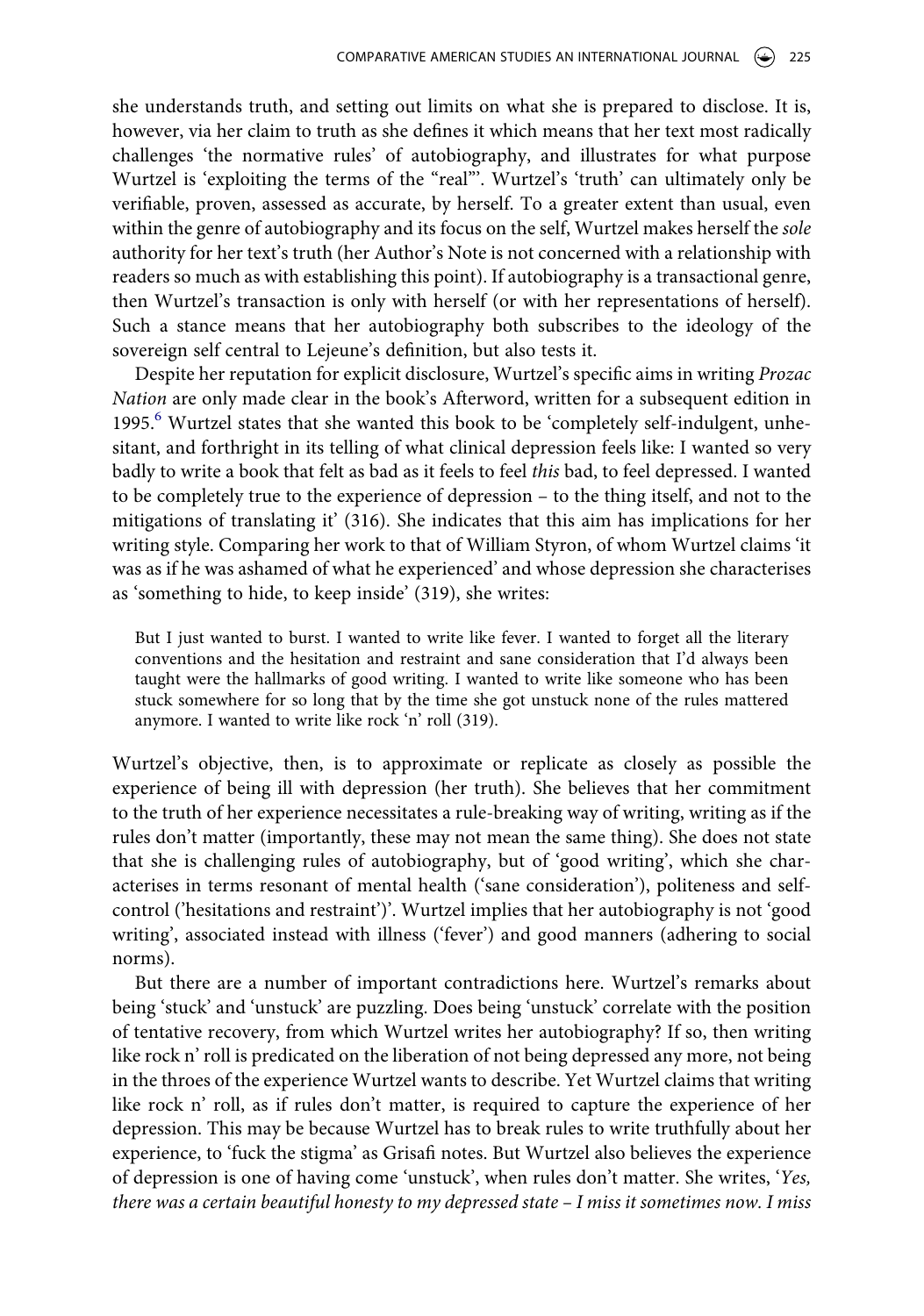she understands truth, and setting out limits on what she is prepared to disclose. It is, however, via her claim to truth as she defines it which means that her text most radically challenges 'the normative rules' of autobiography, and illustrates for what purpose Wurtzel is 'exploiting the terms of the "real"'. Wurtzel's 'truth' can ultimately only be verifiable, proven, assessed as accurate, by herself. To a greater extent than usual, even within the genre of autobiography and its focus on the self, Wurtzel makes herself the *sole*  authority for her text's truth (her Author's Note is not concerned with a relationship with readers so much as with establishing this point). If autobiography is a transactional genre, then Wurtzel's transaction is only with herself (or with her representations of herself). Such a stance means that her autobiography both subscribes to the ideology of the sovereign self central to Lejeune's definition, but also tests it.

Despite her reputation for explicit disclosure, Wurtzel's specific aims in writing *Prozac Nation* are only made clear in the book's Afterword, written for a subsequent edition in 1995.<sup>[6](#page-19-5)</sup> Wurtzel states that she wanted this book to be 'completely self-indulgent, unhesitant, and forthright in its telling of what clinical depression feels like: I wanted so very badly to write a book that felt as bad as it feels to feel *this* bad, to feel depressed. I wanted to be completely true to the experience of depression – to the thing itself, and not to the mitigations of translating it' (316). She indicates that this aim has implications for her writing style. Comparing her work to that of William Styron, of whom Wurtzel claims 'it was as if he was ashamed of what he experienced' and whose depression she characterises as 'something to hide, to keep inside' (319), she writes:

But I just wanted to burst. I wanted to write like fever. I wanted to forget all the literary conventions and the hesitation and restraint and sane consideration that I'd always been taught were the hallmarks of good writing. I wanted to write like someone who has been stuck somewhere for so long that by the time she got unstuck none of the rules mattered anymore. I wanted to write like rock 'n' roll (319).

Wurtzel's objective, then, is to approximate or replicate as closely as possible the experience of being ill with depression (her truth). She believes that her commitment to the truth of her experience necessitates a rule-breaking way of writing, writing as if the rules don't matter (importantly, these may not mean the same thing). She does not state that she is challenging rules of autobiography, but of 'good writing', which she characterises in terms resonant of mental health ('sane consideration'), politeness and selfcontrol ('hesitations and restraint')'. Wurtzel implies that her autobiography is not 'good writing', associated instead with illness ('fever') and good manners (adhering to social norms).

But there are a number of important contradictions here. Wurtzel's remarks about being 'stuck' and 'unstuck' are puzzling. Does being 'unstuck' correlate with the position of tentative recovery, from which Wurtzel writes her autobiography? If so, then writing like rock n' roll is predicated on the liberation of not being depressed any more, not being in the throes of the experience Wurtzel wants to describe. Yet Wurtzel claims that writing like rock n' roll, as if rules don't matter, is required to capture the experience of her depression. This may be because Wurtzel has to break rules to write truthfully about her experience, to 'fuck the stigma' as Grisafi notes. But Wurtzel also believes the experience of depression is one of having come 'unstuck', when rules don't matter. She writes, '*Yes, there was a certain beautiful honesty to my depressed state – I miss it sometimes now. I miss*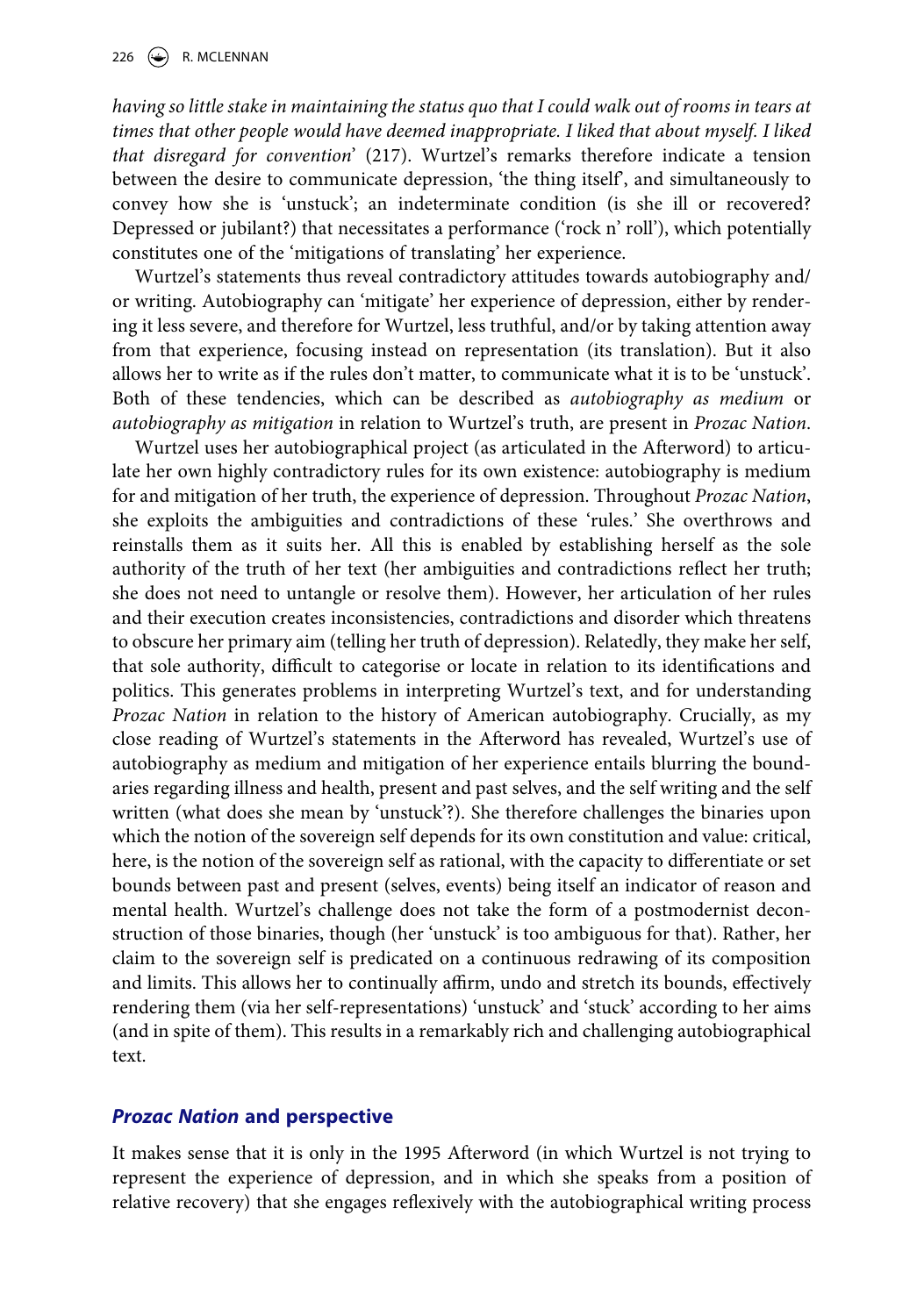*having so little stake in maintaining the status quo that I could walk out of rooms in tears at*  times that other people would have deemed inappropriate. I liked that about myself. I liked *that disregard for convention*' (217). Wurtzel's remarks therefore indicate a tension between the desire to communicate depression, 'the thing itself', and simultaneously to convey how she is 'unstuck'; an indeterminate condition (is she ill or recovered? Depressed or jubilant?) that necessitates a performance ('rock n' roll'), which potentially constitutes one of the 'mitigations of translating' her experience.

Wurtzel's statements thus reveal contradictory attitudes towards autobiography and/ or writing. Autobiography can 'mitigate' her experience of depression, either by rendering it less severe, and therefore for Wurtzel, less truthful, and/or by taking attention away from that experience, focusing instead on representation (its translation). But it also allows her to write as if the rules don't matter, to communicate what it is to be 'unstuck'. Both of these tendencies, which can be described as *autobiography as medium* or *autobiography as mitigation* in relation to Wurtzel's truth, are present in *Prozac Nation*.

Wurtzel uses her autobiographical project (as articulated in the Afterword) to articulate her own highly contradictory rules for its own existence: autobiography is medium for and mitigation of her truth, the experience of depression. Throughout *Prozac Nation*, she exploits the ambiguities and contradictions of these 'rules.' She overthrows and reinstalls them as it suits her. All this is enabled by establishing herself as the sole authority of the truth of her text (her ambiguities and contradictions reflect her truth; she does not need to untangle or resolve them). However, her articulation of her rules and their execution creates inconsistencies, contradictions and disorder which threatens to obscure her primary aim (telling her truth of depression). Relatedly, they make her self, that sole authority, difficult to categorise or locate in relation to its identifications and politics. This generates problems in interpreting Wurtzel's text, and for understanding *Prozac Nation* in relation to the history of American autobiography. Crucially, as my close reading of Wurtzel's statements in the Afterword has revealed, Wurtzel's use of autobiography as medium and mitigation of her experience entails blurring the boundaries regarding illness and health, present and past selves, and the self writing and the self written (what does she mean by 'unstuck'?). She therefore challenges the binaries upon which the notion of the sovereign self depends for its own constitution and value: critical, here, is the notion of the sovereign self as rational, with the capacity to differentiate or set bounds between past and present (selves, events) being itself an indicator of reason and mental health. Wurtzel's challenge does not take the form of a postmodernist deconstruction of those binaries, though (her 'unstuck' is too ambiguous for that). Rather, her claim to the sovereign self is predicated on a continuous redrawing of its composition and limits. This allows her to continually affirm, undo and stretch its bounds, effectively rendering them (via her self-representations) 'unstuck' and 'stuck' according to her aims (and in spite of them). This results in a remarkably rich and challenging autobiographical text.

## *Prozac Nation* **and perspective**

It makes sense that it is only in the 1995 Afterword (in which Wurtzel is not trying to represent the experience of depression, and in which she speaks from a position of relative recovery) that she engages reflexively with the autobiographical writing process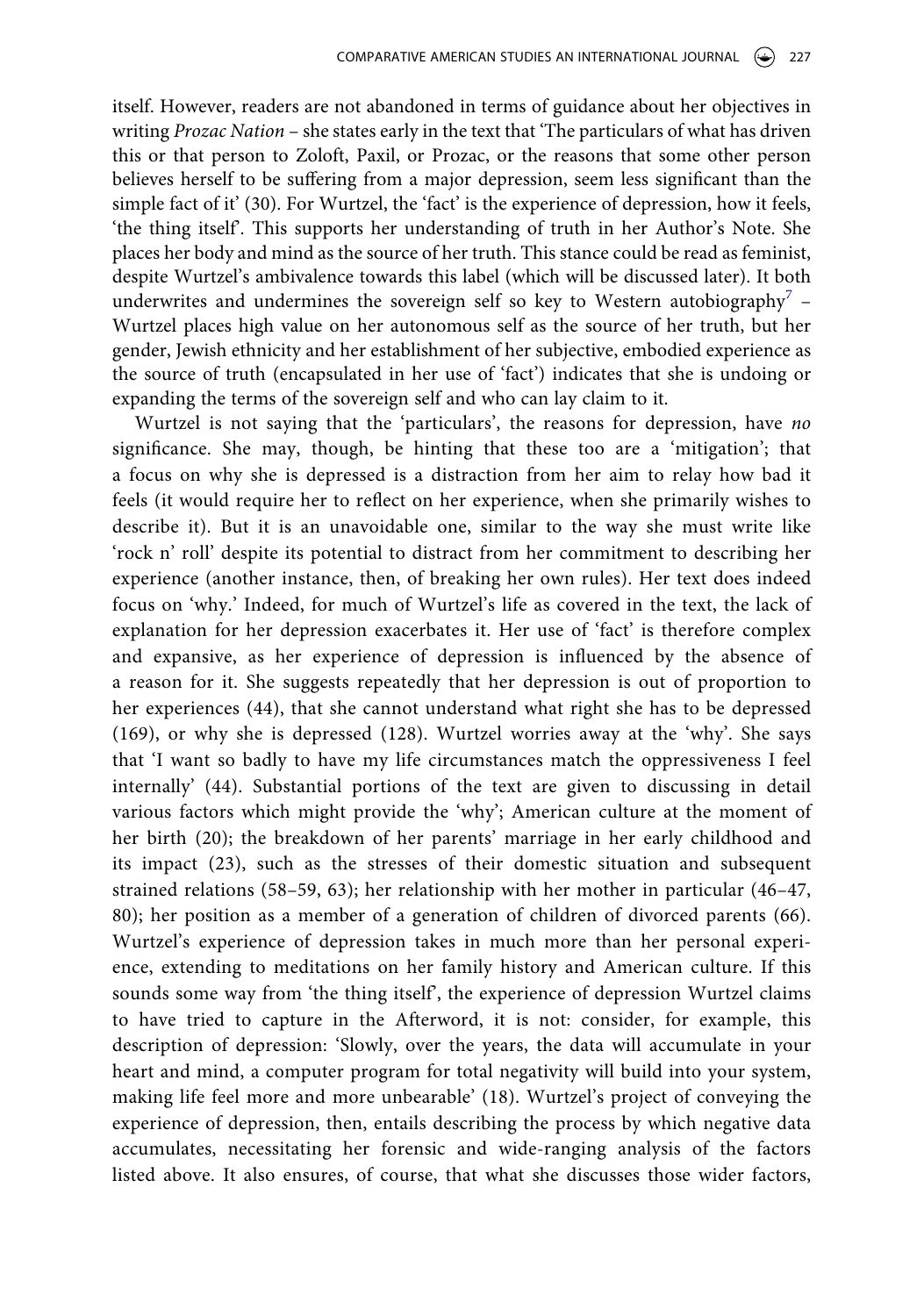itself. However, readers are not abandoned in terms of guidance about her objectives in writing *Prozac Nation* – she states early in the text that 'The particulars of what has driven this or that person to Zoloft, Paxil, or Prozac, or the reasons that some other person believes herself to be suffering from a major depression, seem less significant than the simple fact of it' (30). For Wurtzel, the 'fact' is the experience of depression, how it feels, 'the thing itself'. This supports her understanding of truth in her Author's Note. She places her body and mind as the source of her truth. This stance could be read as feminist, despite Wurtzel's ambivalence towards this label (which will be discussed later). It both underwrites and undermines the sovereign self so key to Western autobiography<sup>[7](#page-19-6)</sup> – Wurtzel places high value on her autonomous self as the source of her truth, but her gender, Jewish ethnicity and her establishment of her subjective, embodied experience as the source of truth (encapsulated in her use of 'fact') indicates that she is undoing or expanding the terms of the sovereign self and who can lay claim to it.

Wurtzel is not saying that the 'particulars', the reasons for depression, have *no*  significance. She may, though, be hinting that these too are a 'mitigation'; that a focus on why she is depressed is a distraction from her aim to relay how bad it feels (it would require her to reflect on her experience, when she primarily wishes to describe it). But it is an unavoidable one, similar to the way she must write like 'rock n' roll' despite its potential to distract from her commitment to describing her experience (another instance, then, of breaking her own rules). Her text does indeed focus on 'why.' Indeed, for much of Wurtzel's life as covered in the text, the lack of explanation for her depression exacerbates it. Her use of 'fact' is therefore complex and expansive, as her experience of depression is influenced by the absence of a reason for it. She suggests repeatedly that her depression is out of proportion to her experiences (44), that she cannot understand what right she has to be depressed (169), or why she is depressed (128). Wurtzel worries away at the 'why'. She says that 'I want so badly to have my life circumstances match the oppressiveness I feel internally' (44). Substantial portions of the text are given to discussing in detail various factors which might provide the 'why'; American culture at the moment of her birth (20); the breakdown of her parents' marriage in her early childhood and its impact (23), such as the stresses of their domestic situation and subsequent strained relations (58–59, 63); her relationship with her mother in particular (46–47, 80); her position as a member of a generation of children of divorced parents (66). Wurtzel's experience of depression takes in much more than her personal experience, extending to meditations on her family history and American culture. If this sounds some way from 'the thing itself', the experience of depression Wurtzel claims to have tried to capture in the Afterword, it is not: consider, for example, this description of depression: 'Slowly, over the years, the data will accumulate in your heart and mind, a computer program for total negativity will build into your system, making life feel more and more unbearable' (18). Wurtzel's project of conveying the experience of depression, then, entails describing the process by which negative data accumulates, necessitating her forensic and wide-ranging analysis of the factors listed above. It also ensures, of course, that what she discusses those wider factors,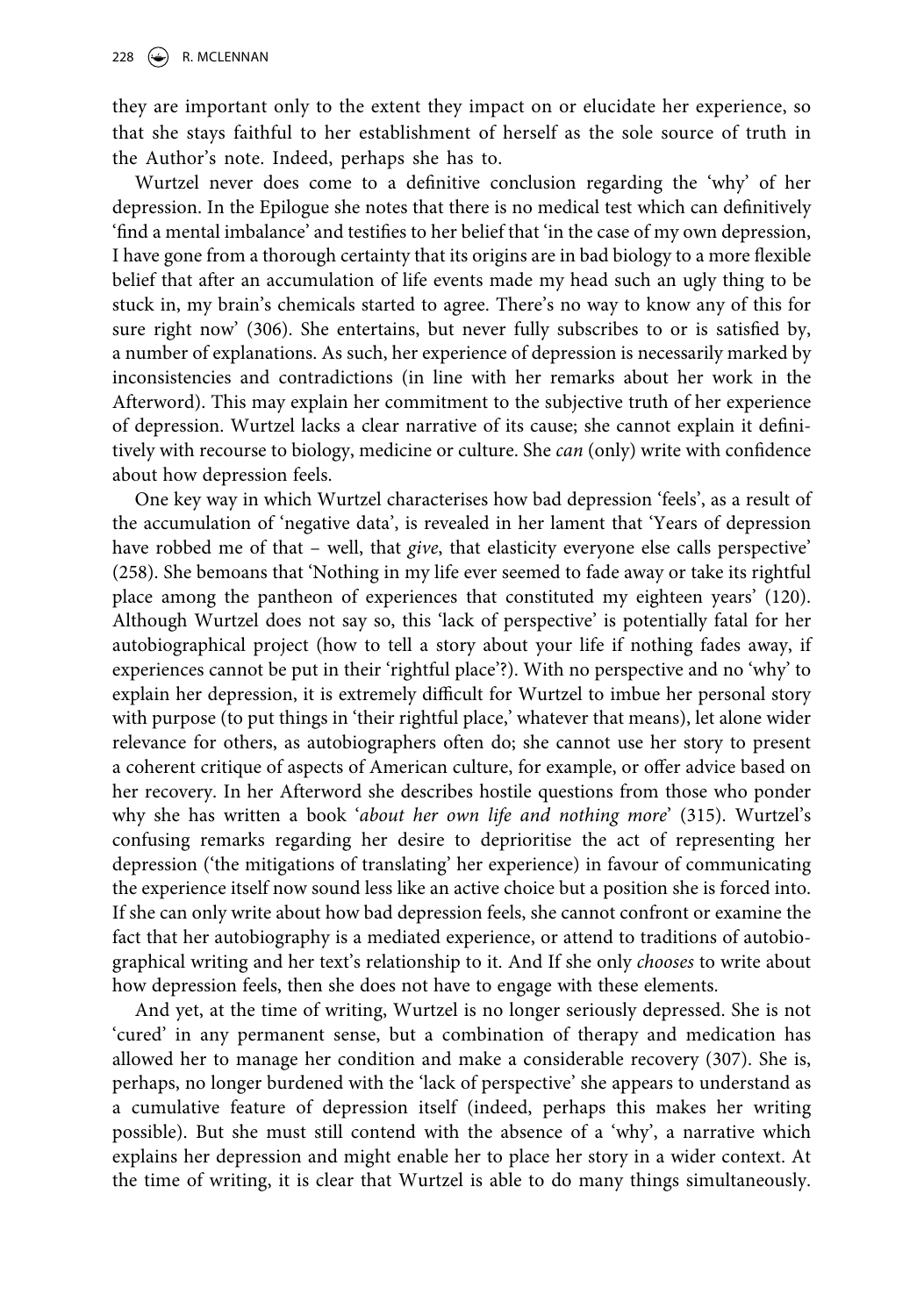they are important only to the extent they impact on or elucidate her experience, so that she stays faithful to her establishment of herself as the sole source of truth in the Author's note. Indeed, perhaps she has to.

Wurtzel never does come to a definitive conclusion regarding the 'why' of her depression. In the Epilogue she notes that there is no medical test which can definitively 'find a mental imbalance' and testifies to her belief that 'in the case of my own depression, I have gone from a thorough certainty that its origins are in bad biology to a more flexible belief that after an accumulation of life events made my head such an ugly thing to be stuck in, my brain's chemicals started to agree. There's no way to know any of this for sure right now' (306). She entertains, but never fully subscribes to or is satisfied by, a number of explanations. As such, her experience of depression is necessarily marked by inconsistencies and contradictions (in line with her remarks about her work in the Afterword). This may explain her commitment to the subjective truth of her experience of depression. Wurtzel lacks a clear narrative of its cause; she cannot explain it definitively with recourse to biology, medicine or culture. She *can* (only) write with confidence about how depression feels.

One key way in which Wurtzel characterises how bad depression 'feels', as a result of the accumulation of 'negative data', is revealed in her lament that 'Years of depression have robbed me of that – well, that *give*, that elasticity everyone else calls perspective' (258). She bemoans that 'Nothing in my life ever seemed to fade away or take its rightful place among the pantheon of experiences that constituted my eighteen years' (120). Although Wurtzel does not say so, this 'lack of perspective' is potentially fatal for her autobiographical project (how to tell a story about your life if nothing fades away, if experiences cannot be put in their 'rightful place'?). With no perspective and no 'why' to explain her depression, it is extremely difficult for Wurtzel to imbue her personal story with purpose (to put things in 'their rightful place,' whatever that means), let alone wider relevance for others, as autobiographers often do; she cannot use her story to present a coherent critique of aspects of American culture, for example, or offer advice based on her recovery. In her Afterword she describes hostile questions from those who ponder why she has written a book '*about her own life and nothing more*' (315). Wurtzel's confusing remarks regarding her desire to deprioritise the act of representing her depression ('the mitigations of translating' her experience) in favour of communicating the experience itself now sound less like an active choice but a position she is forced into. If she can only write about how bad depression feels, she cannot confront or examine the fact that her autobiography is a mediated experience, or attend to traditions of autobiographical writing and her text's relationship to it. And If she only *chooses* to write about how depression feels, then she does not have to engage with these elements.

And yet, at the time of writing, Wurtzel is no longer seriously depressed. She is not 'cured' in any permanent sense, but a combination of therapy and medication has allowed her to manage her condition and make a considerable recovery (307). She is, perhaps, no longer burdened with the 'lack of perspective' she appears to understand as a cumulative feature of depression itself (indeed, perhaps this makes her writing possible). But she must still contend with the absence of a 'why', a narrative which explains her depression and might enable her to place her story in a wider context. At the time of writing, it is clear that Wurtzel is able to do many things simultaneously.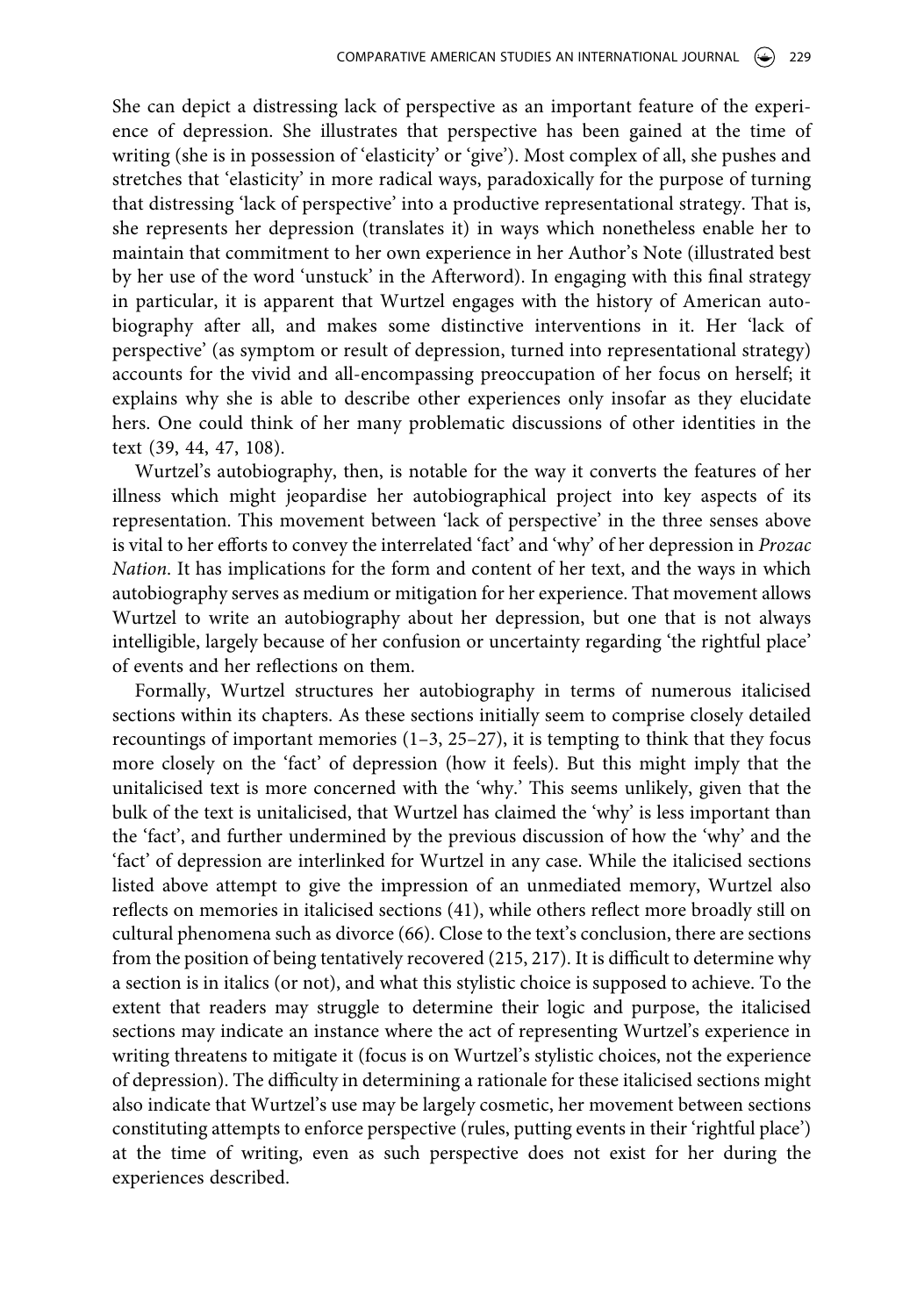She can depict a distressing lack of perspective as an important feature of the experience of depression. She illustrates that perspective has been gained at the time of writing (she is in possession of 'elasticity' or 'give'). Most complex of all, she pushes and stretches that 'elasticity' in more radical ways, paradoxically for the purpose of turning that distressing 'lack of perspective' into a productive representational strategy. That is, she represents her depression (translates it) in ways which nonetheless enable her to maintain that commitment to her own experience in her Author's Note (illustrated best by her use of the word 'unstuck' in the Afterword). In engaging with this final strategy in particular, it is apparent that Wurtzel engages with the history of American autobiography after all, and makes some distinctive interventions in it. Her 'lack of perspective' (as symptom or result of depression, turned into representational strategy) accounts for the vivid and all-encompassing preoccupation of her focus on herself; it explains why she is able to describe other experiences only insofar as they elucidate hers. One could think of her many problematic discussions of other identities in the text (39, 44, 47, 108).

Wurtzel's autobiography, then, is notable for the way it converts the features of her illness which might jeopardise her autobiographical project into key aspects of its representation. This movement between 'lack of perspective' in the three senses above is vital to her efforts to convey the interrelated 'fact' and 'why' of her depression in *Prozac Nation*. It has implications for the form and content of her text, and the ways in which autobiography serves as medium or mitigation for her experience. That movement allows Wurtzel to write an autobiography about her depression, but one that is not always intelligible, largely because of her confusion or uncertainty regarding 'the rightful place' of events and her reflections on them.

Formally, Wurtzel structures her autobiography in terms of numerous italicised sections within its chapters. As these sections initially seem to comprise closely detailed recountings of important memories  $(1-3, 25-27)$ , it is tempting to think that they focus more closely on the 'fact' of depression (how it feels). But this might imply that the unitalicised text is more concerned with the 'why.' This seems unlikely, given that the bulk of the text is unitalicised, that Wurtzel has claimed the 'why' is less important than the 'fact', and further undermined by the previous discussion of how the 'why' and the 'fact' of depression are interlinked for Wurtzel in any case. While the italicised sections listed above attempt to give the impression of an unmediated memory, Wurtzel also reflects on memories in italicised sections (41), while others reflect more broadly still on cultural phenomena such as divorce (66). Close to the text's conclusion, there are sections from the position of being tentatively recovered (215, 217). It is difficult to determine why a section is in italics (or not), and what this stylistic choice is supposed to achieve. To the extent that readers may struggle to determine their logic and purpose, the italicised sections may indicate an instance where the act of representing Wurtzel's experience in writing threatens to mitigate it (focus is on Wurtzel's stylistic choices, not the experience of depression). The difficulty in determining a rationale for these italicised sections might also indicate that Wurtzel's use may be largely cosmetic, her movement between sections constituting attempts to enforce perspective (rules, putting events in their 'rightful place') at the time of writing, even as such perspective does not exist for her during the experiences described.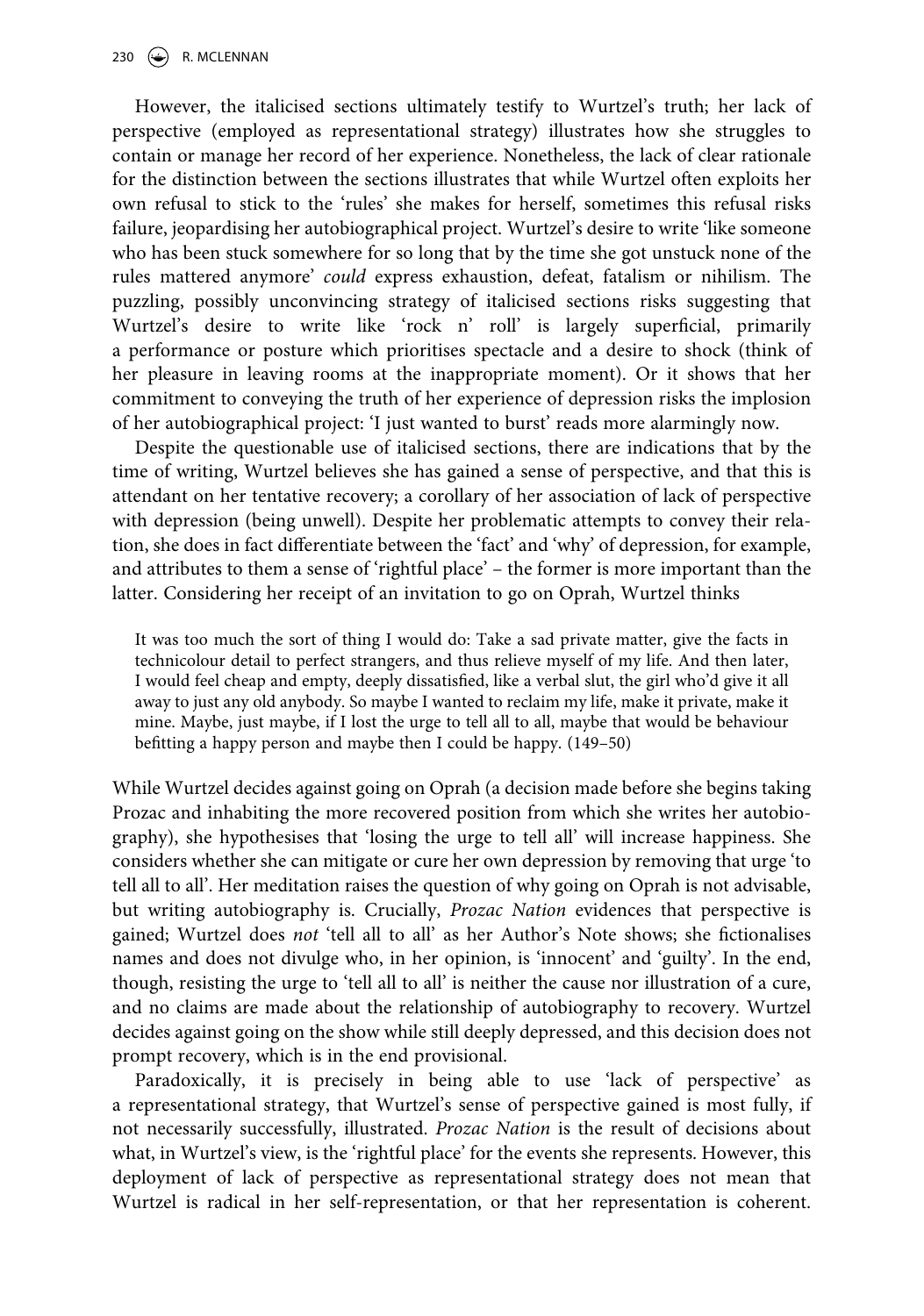However, the italicised sections ultimately testify to Wurtzel's truth; her lack of perspective (employed as representational strategy) illustrates how she struggles to contain or manage her record of her experience. Nonetheless, the lack of clear rationale for the distinction between the sections illustrates that while Wurtzel often exploits her own refusal to stick to the 'rules' she makes for herself, sometimes this refusal risks failure, jeopardising her autobiographical project. Wurtzel's desire to write 'like someone who has been stuck somewhere for so long that by the time she got unstuck none of the rules mattered anymore' *could* express exhaustion, defeat, fatalism or nihilism. The puzzling, possibly unconvincing strategy of italicised sections risks suggesting that Wurtzel's desire to write like 'rock n' roll' is largely superficial, primarily a performance or posture which prioritises spectacle and a desire to shock (think of her pleasure in leaving rooms at the inappropriate moment). Or it shows that her commitment to conveying the truth of her experience of depression risks the implosion of her autobiographical project: 'I just wanted to burst' reads more alarmingly now.

Despite the questionable use of italicised sections, there are indications that by the time of writing, Wurtzel believes she has gained a sense of perspective, and that this is attendant on her tentative recovery; a corollary of her association of lack of perspective with depression (being unwell). Despite her problematic attempts to convey their relation, she does in fact differentiate between the 'fact' and 'why' of depression, for example, and attributes to them a sense of 'rightful place' – the former is more important than the latter. Considering her receipt of an invitation to go on Oprah, Wurtzel thinks

It was too much the sort of thing I would do: Take a sad private matter, give the facts in technicolour detail to perfect strangers, and thus relieve myself of my life. And then later, I would feel cheap and empty, deeply dissatisfied, like a verbal slut, the girl who'd give it all away to just any old anybody. So maybe I wanted to reclaim my life, make it private, make it mine. Maybe, just maybe, if I lost the urge to tell all to all, maybe that would be behaviour befitting a happy person and maybe then I could be happy. (149–50)

While Wurtzel decides against going on Oprah (a decision made before she begins taking Prozac and inhabiting the more recovered position from which she writes her autobiography), she hypothesises that 'losing the urge to tell all' will increase happiness. She considers whether she can mitigate or cure her own depression by removing that urge 'to tell all to all'. Her meditation raises the question of why going on Oprah is not advisable, but writing autobiography is. Crucially, *Prozac Nation* evidences that perspective is gained; Wurtzel does *not* 'tell all to all' as her Author's Note shows; she fictionalises names and does not divulge who, in her opinion, is 'innocent' and 'guilty'. In the end, though, resisting the urge to 'tell all to all' is neither the cause nor illustration of a cure, and no claims are made about the relationship of autobiography to recovery. Wurtzel decides against going on the show while still deeply depressed, and this decision does not prompt recovery, which is in the end provisional.

Paradoxically, it is precisely in being able to use 'lack of perspective' as a representational strategy, that Wurtzel's sense of perspective gained is most fully, if not necessarily successfully, illustrated. *Prozac Nation* is the result of decisions about what, in Wurtzel's view, is the 'rightful place' for the events she represents. However, this deployment of lack of perspective as representational strategy does not mean that Wurtzel is radical in her self-representation, or that her representation is coherent.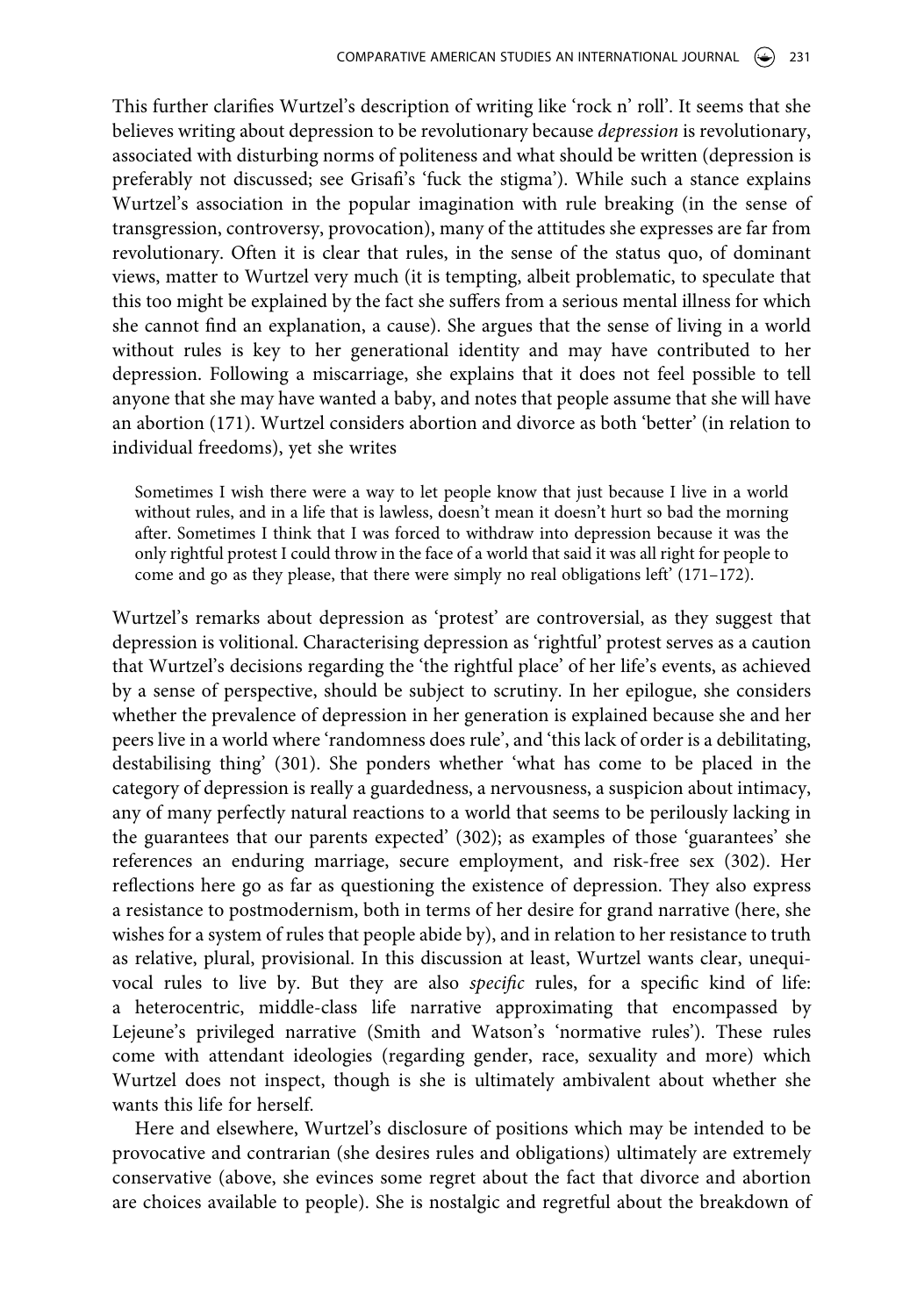This further clarifies Wurtzel's description of writing like 'rock n' roll'. It seems that she believes writing about depression to be revolutionary because *depression* is revolutionary, associated with disturbing norms of politeness and what should be written (depression is preferably not discussed; see Grisafi's 'fuck the stigma'). While such a stance explains Wurtzel's association in the popular imagination with rule breaking (in the sense of transgression, controversy, provocation), many of the attitudes she expresses are far from revolutionary. Often it is clear that rules, in the sense of the status quo, of dominant views, matter to Wurtzel very much (it is tempting, albeit problematic, to speculate that this too might be explained by the fact she suffers from a serious mental illness for which she cannot find an explanation, a cause). She argues that the sense of living in a world without rules is key to her generational identity and may have contributed to her depression. Following a miscarriage, she explains that it does not feel possible to tell anyone that she may have wanted a baby, and notes that people assume that she will have an abortion (171). Wurtzel considers abortion and divorce as both 'better' (in relation to individual freedoms), yet she writes

Sometimes I wish there were a way to let people know that just because I live in a world without rules, and in a life that is lawless, doesn't mean it doesn't hurt so bad the morning after. Sometimes I think that I was forced to withdraw into depression because it was the only rightful protest I could throw in the face of a world that said it was all right for people to come and go as they please, that there were simply no real obligations left'  $(171-172)$ .

Wurtzel's remarks about depression as 'protest' are controversial, as they suggest that depression is volitional. Characterising depression as 'rightful' protest serves as a caution that Wurtzel's decisions regarding the 'the rightful place' of her life's events, as achieved by a sense of perspective, should be subject to scrutiny. In her epilogue, she considers whether the prevalence of depression in her generation is explained because she and her peers live in a world where 'randomness does rule', and 'this lack of order is a debilitating, destabilising thing' (301). She ponders whether 'what has come to be placed in the category of depression is really a guardedness, a nervousness, a suspicion about intimacy, any of many perfectly natural reactions to a world that seems to be perilously lacking in the guarantees that our parents expected' (302); as examples of those 'guarantees' she references an enduring marriage, secure employment, and risk-free sex (302). Her reflections here go as far as questioning the existence of depression. They also express a resistance to postmodernism, both in terms of her desire for grand narrative (here, she wishes for a system of rules that people abide by), and in relation to her resistance to truth as relative, plural, provisional. In this discussion at least, Wurtzel wants clear, unequivocal rules to live by. But they are also *specific* rules, for a specific kind of life: a heterocentric, middle-class life narrative approximating that encompassed by Lejeune's privileged narrative (Smith and Watson's 'normative rules'). These rules come with attendant ideologies (regarding gender, race, sexuality and more) which Wurtzel does not inspect, though is she is ultimately ambivalent about whether she wants this life for herself.

Here and elsewhere, Wurtzel's disclosure of positions which may be intended to be provocative and contrarian (she desires rules and obligations) ultimately are extremely conservative (above, she evinces some regret about the fact that divorce and abortion are choices available to people). She is nostalgic and regretful about the breakdown of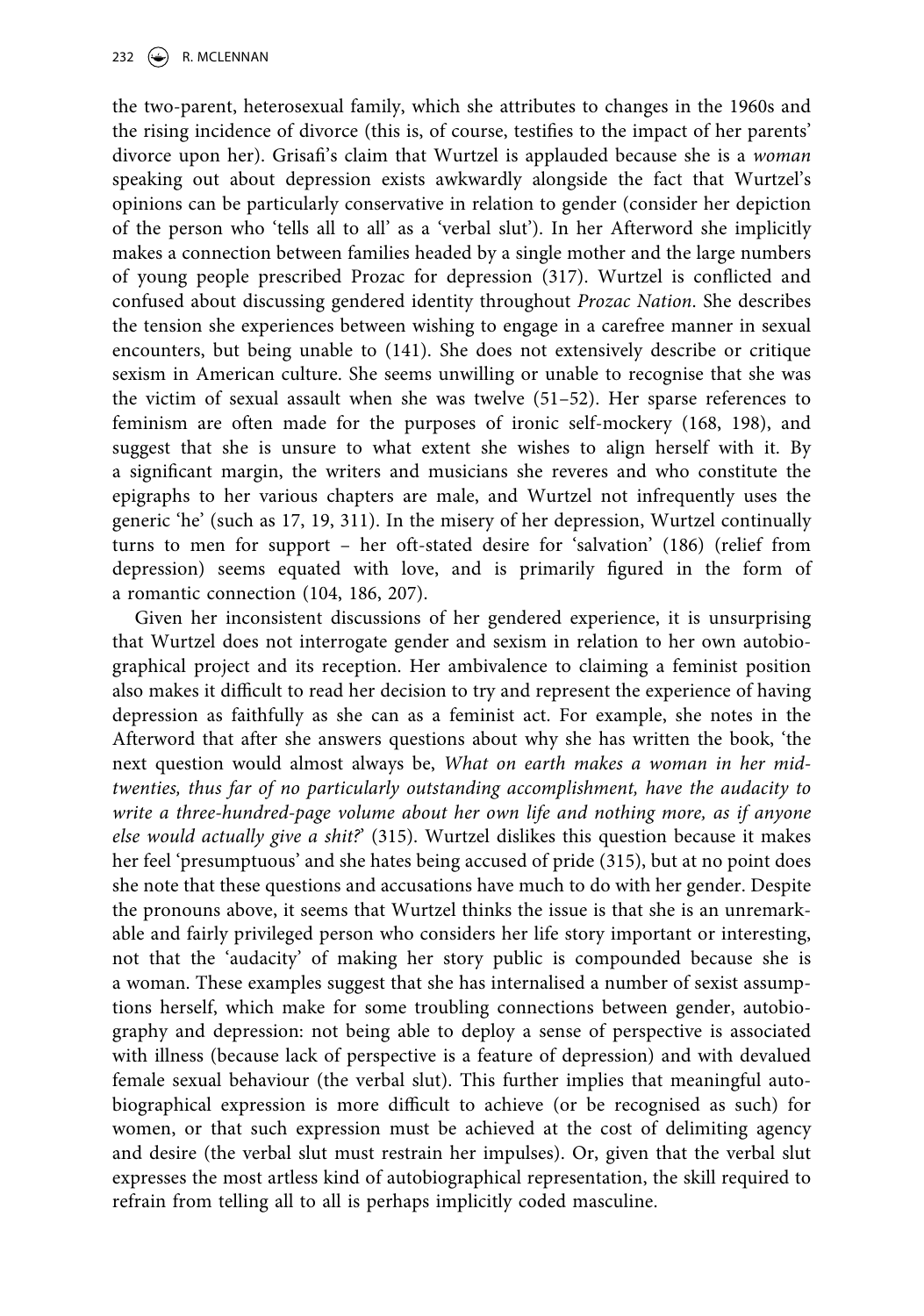the two-parent, heterosexual family, which she attributes to changes in the 1960s and the rising incidence of divorce (this is, of course, testifies to the impact of her parents' divorce upon her). Grisafi's claim that Wurtzel is applauded because she is a *woman*  speaking out about depression exists awkwardly alongside the fact that Wurtzel's opinions can be particularly conservative in relation to gender (consider her depiction of the person who 'tells all to all' as a 'verbal slut'). In her Afterword she implicitly makes a connection between families headed by a single mother and the large numbers of young people prescribed Prozac for depression (317). Wurtzel is conflicted and confused about discussing gendered identity throughout *Prozac Nation*. She describes the tension she experiences between wishing to engage in a carefree manner in sexual encounters, but being unable to (141). She does not extensively describe or critique sexism in American culture. She seems unwilling or unable to recognise that she was the victim of sexual assault when she was twelve (51–52). Her sparse references to feminism are often made for the purposes of ironic self-mockery (168, 198), and suggest that she is unsure to what extent she wishes to align herself with it. By a significant margin, the writers and musicians she reveres and who constitute the epigraphs to her various chapters are male, and Wurtzel not infrequently uses the generic 'he' (such as 17, 19, 311). In the misery of her depression, Wurtzel continually turns to men for support – her oft-stated desire for 'salvation' (186) (relief from depression) seems equated with love, and is primarily figured in the form of a romantic connection (104, 186, 207).

Given her inconsistent discussions of her gendered experience, it is unsurprising that Wurtzel does not interrogate gender and sexism in relation to her own autobiographical project and its reception. Her ambivalence to claiming a feminist position also makes it difficult to read her decision to try and represent the experience of having depression as faithfully as she can as a feminist act. For example, she notes in the Afterword that after she answers questions about why she has written the book, 'the next question would almost always be, *What on earth makes a woman in her midtwenties, thus far of no particularly outstanding accomplishment, have the audacity to write a three-hundred-page volume about her own life and nothing more, as if anyone else would actually give a shit?*' (315). Wurtzel dislikes this question because it makes her feel 'presumptuous' and she hates being accused of pride (315), but at no point does she note that these questions and accusations have much to do with her gender. Despite the pronouns above, it seems that Wurtzel thinks the issue is that she is an unremarkable and fairly privileged person who considers her life story important or interesting, not that the 'audacity' of making her story public is compounded because she is a woman. These examples suggest that she has internalised a number of sexist assumptions herself, which make for some troubling connections between gender, autobiography and depression: not being able to deploy a sense of perspective is associated with illness (because lack of perspective is a feature of depression) and with devalued female sexual behaviour (the verbal slut). This further implies that meaningful autobiographical expression is more difficult to achieve (or be recognised as such) for women, or that such expression must be achieved at the cost of delimiting agency and desire (the verbal slut must restrain her impulses). Or, given that the verbal slut expresses the most artless kind of autobiographical representation, the skill required to refrain from telling all to all is perhaps implicitly coded masculine.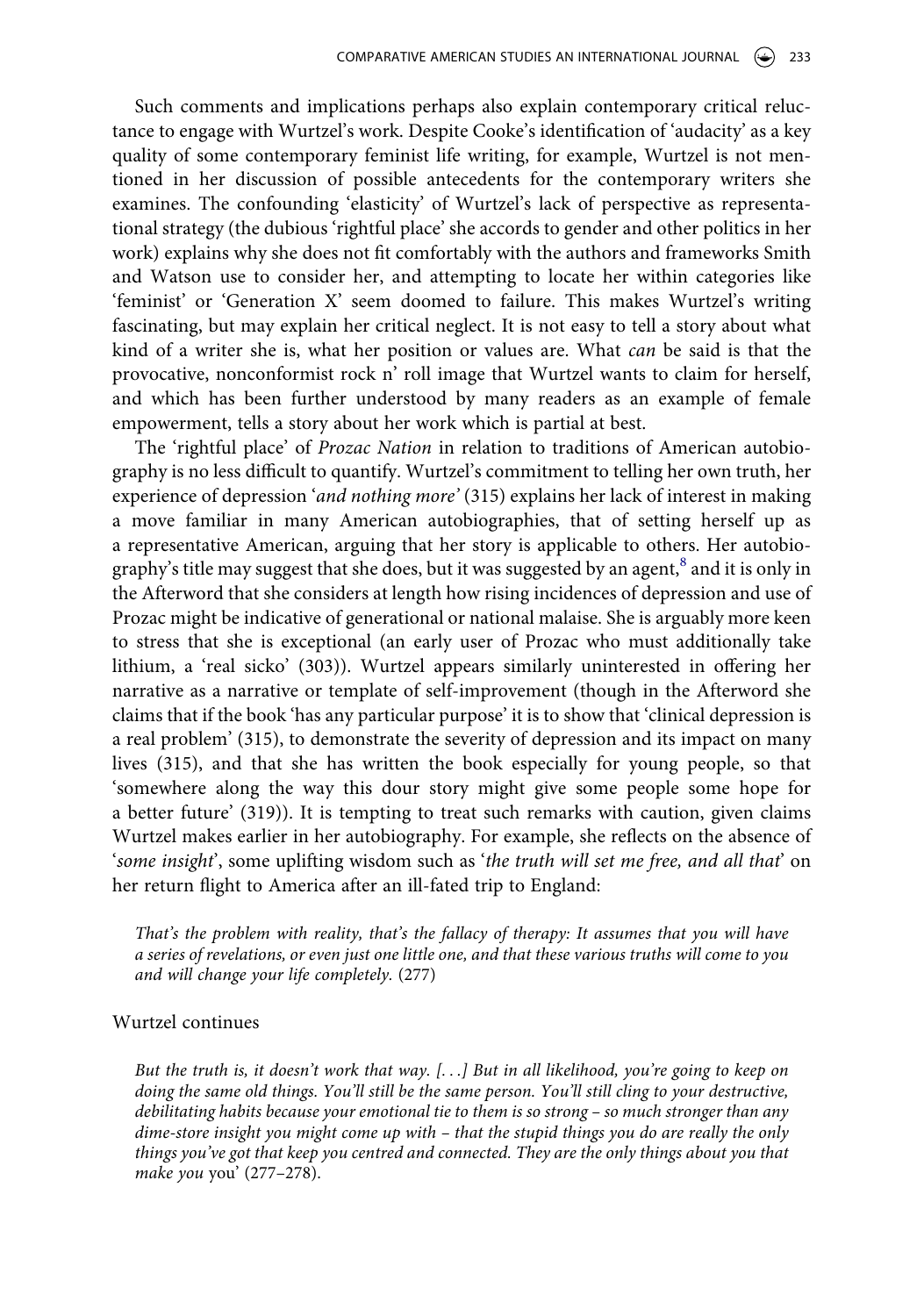Such comments and implications perhaps also explain contemporary critical reluctance to engage with Wurtzel's work. Despite Cooke's identification of 'audacity' as a key quality of some contemporary feminist life writing, for example, Wurtzel is not mentioned in her discussion of possible antecedents for the contemporary writers she examines. The confounding 'elasticity' of Wurtzel's lack of perspective as representational strategy (the dubious 'rightful place' she accords to gender and other politics in her work) explains why she does not fit comfortably with the authors and frameworks Smith and Watson use to consider her, and attempting to locate her within categories like 'feminist' or 'Generation X' seem doomed to failure. This makes Wurtzel's writing fascinating, but may explain her critical neglect. It is not easy to tell a story about what kind of a writer she is, what her position or values are. What *can* be said is that the provocative, nonconformist rock n' roll image that Wurtzel wants to claim for herself, and which has been further understood by many readers as an example of female empowerment, tells a story about her work which is partial at best.

The 'rightful place' of *Prozac Nation* in relation to traditions of American autobiography is no less difficult to quantify. Wurtzel's commitment to telling her own truth, her experience of depression '*and nothing more'* (315) explains her lack of interest in making a move familiar in many American autobiographies, that of setting herself up as a representative American, arguing that her story is applicable to others. Her autobiography's title may suggest that she does, but it was suggested by an agent, $\delta$  and it is only in the Afterword that she considers at length how rising incidences of depression and use of Prozac might be indicative of generational or national malaise. She is arguably more keen to stress that she is exceptional (an early user of Prozac who must additionally take lithium, a 'real sicko' (303)). Wurtzel appears similarly uninterested in offering her narrative as a narrative or template of self-improvement (though in the Afterword she claims that if the book 'has any particular purpose' it is to show that 'clinical depression is a real problem' (315), to demonstrate the severity of depression and its impact on many lives (315), and that she has written the book especially for young people, so that 'somewhere along the way this dour story might give some people some hope for a better future' (319)). It is tempting to treat such remarks with caution, given claims Wurtzel makes earlier in her autobiography. For example, she reflects on the absence of '*some insight*', some uplifting wisdom such as '*the truth will set me free, and all that*' on her return flight to America after an ill-fated trip to England:

*That's the problem with reality, that's the fallacy of therapy: It assumes that you will have a series of revelations, or even just one little one, and that these various truths will come to you and will change your life completely.* (277)

#### Wurtzel continues

*But the truth is, it doesn't work that way. [. . .] But in all likelihood, you're going to keep on doing the same old things. You'll still be the same person. You'll still cling to your destructive, debilitating habits because your emotional tie to them is so strong – so much stronger than any dime-store insight you might come up with – that the stupid things you do are really the only things you've got that keep you centred and connected. They are the only things about you that make you* you' (277–278).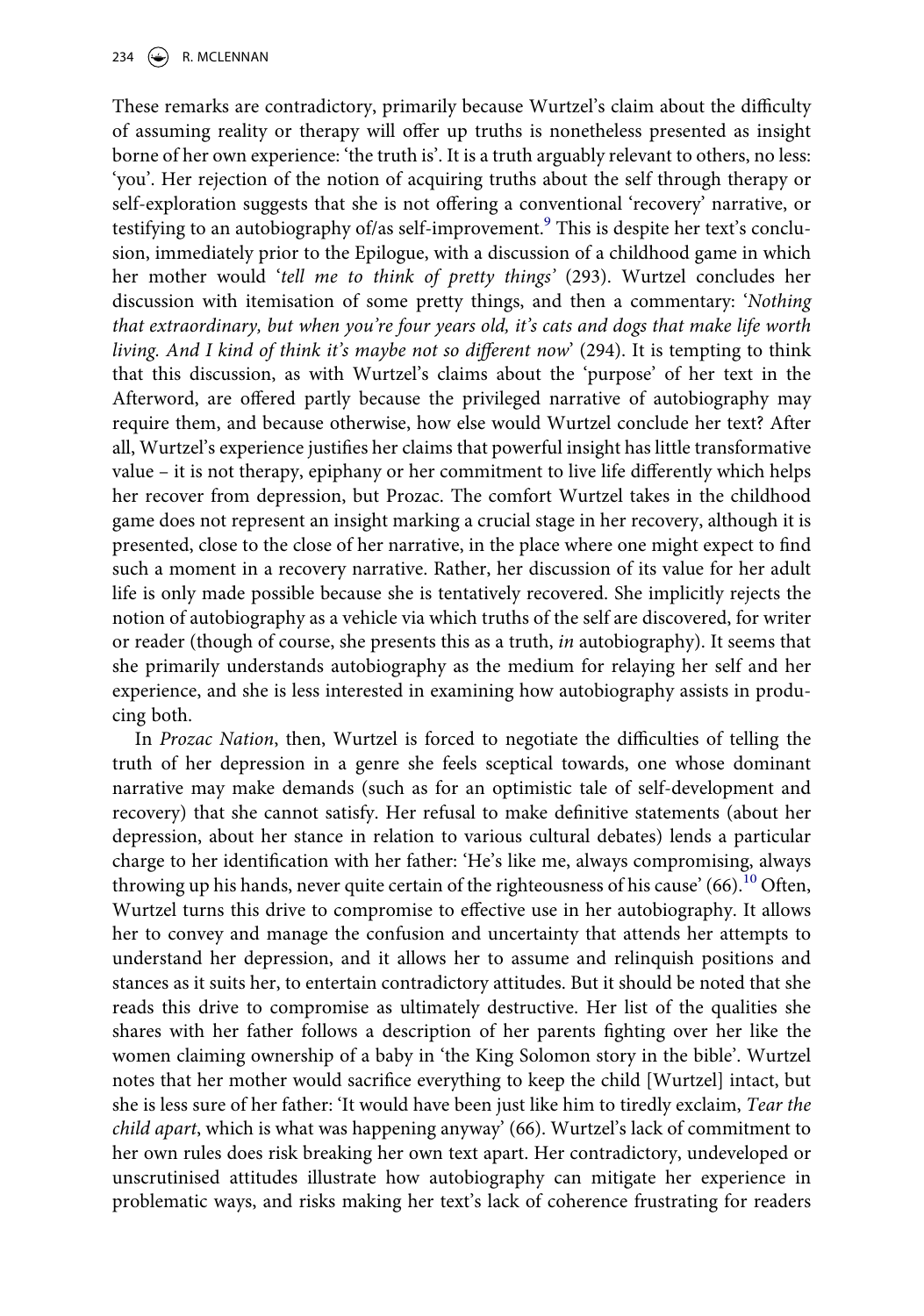234  $\leftrightarrow$  R. MCLENNAN

These remarks are contradictory, primarily because Wurtzel's claim about the difficulty of assuming reality or therapy will offer up truths is nonetheless presented as insight borne of her own experience: 'the truth is'. It is a truth arguably relevant to others, no less: 'you'. Her rejection of the notion of acquiring truths about the self through therapy or self-exploration suggests that she is not offering a conventional 'recovery' narrative, or testifying to an autobiography of/as self-improvement.<sup>[9](#page-19-8)</sup> This is despite her text's conclusion, immediately prior to the Epilogue, with a discussion of a childhood game in which her mother would '*tell me to think of pretty things'* (293). Wurtzel concludes her discussion with itemisation of some pretty things, and then a commentary: '*Nothing that extraordinary, but when you're four years old, it's cats and dogs that make life worth living. And I kind of think it's maybe not so different now*' (294). It is tempting to think that this discussion, as with Wurtzel's claims about the 'purpose' of her text in the Afterword, are offered partly because the privileged narrative of autobiography may require them, and because otherwise, how else would Wurtzel conclude her text? After all, Wurtzel's experience justifies her claims that powerful insight has little transformative value – it is not therapy, epiphany or her commitment to live life differently which helps her recover from depression, but Prozac. The comfort Wurtzel takes in the childhood game does not represent an insight marking a crucial stage in her recovery, although it is presented, close to the close of her narrative, in the place where one might expect to find such a moment in a recovery narrative. Rather, her discussion of its value for her adult life is only made possible because she is tentatively recovered. She implicitly rejects the notion of autobiography as a vehicle via which truths of the self are discovered, for writer or reader (though of course, she presents this as a truth, *in* autobiography). It seems that she primarily understands autobiography as the medium for relaying her self and her experience, and she is less interested in examining how autobiography assists in producing both.

In *Prozac Nation*, then, Wurtzel is forced to negotiate the difficulties of telling the truth of her depression in a genre she feels sceptical towards, one whose dominant narrative may make demands (such as for an optimistic tale of self-development and recovery) that she cannot satisfy. Her refusal to make definitive statements (about her depression, about her stance in relation to various cultural debates) lends a particular charge to her identification with her father: 'He's like me, always compromising, always throwing up his hands, never quite certain of the righteousness of his cause'  $(66)$ <sup>[10](#page-20-9)</sup> Often, Wurtzel turns this drive to compromise to effective use in her autobiography. It allows her to convey and manage the confusion and uncertainty that attends her attempts to understand her depression, and it allows her to assume and relinquish positions and stances as it suits her, to entertain contradictory attitudes. But it should be noted that she reads this drive to compromise as ultimately destructive. Her list of the qualities she shares with her father follows a description of her parents fighting over her like the women claiming ownership of a baby in 'the King Solomon story in the bible'. Wurtzel notes that her mother would sacrifice everything to keep the child [Wurtzel] intact, but she is less sure of her father: 'It would have been just like him to tiredly exclaim, *Tear the child apart*, which is what was happening anyway' (66). Wurtzel's lack of commitment to her own rules does risk breaking her own text apart. Her contradictory, undeveloped or unscrutinised attitudes illustrate how autobiography can mitigate her experience in problematic ways, and risks making her text's lack of coherence frustrating for readers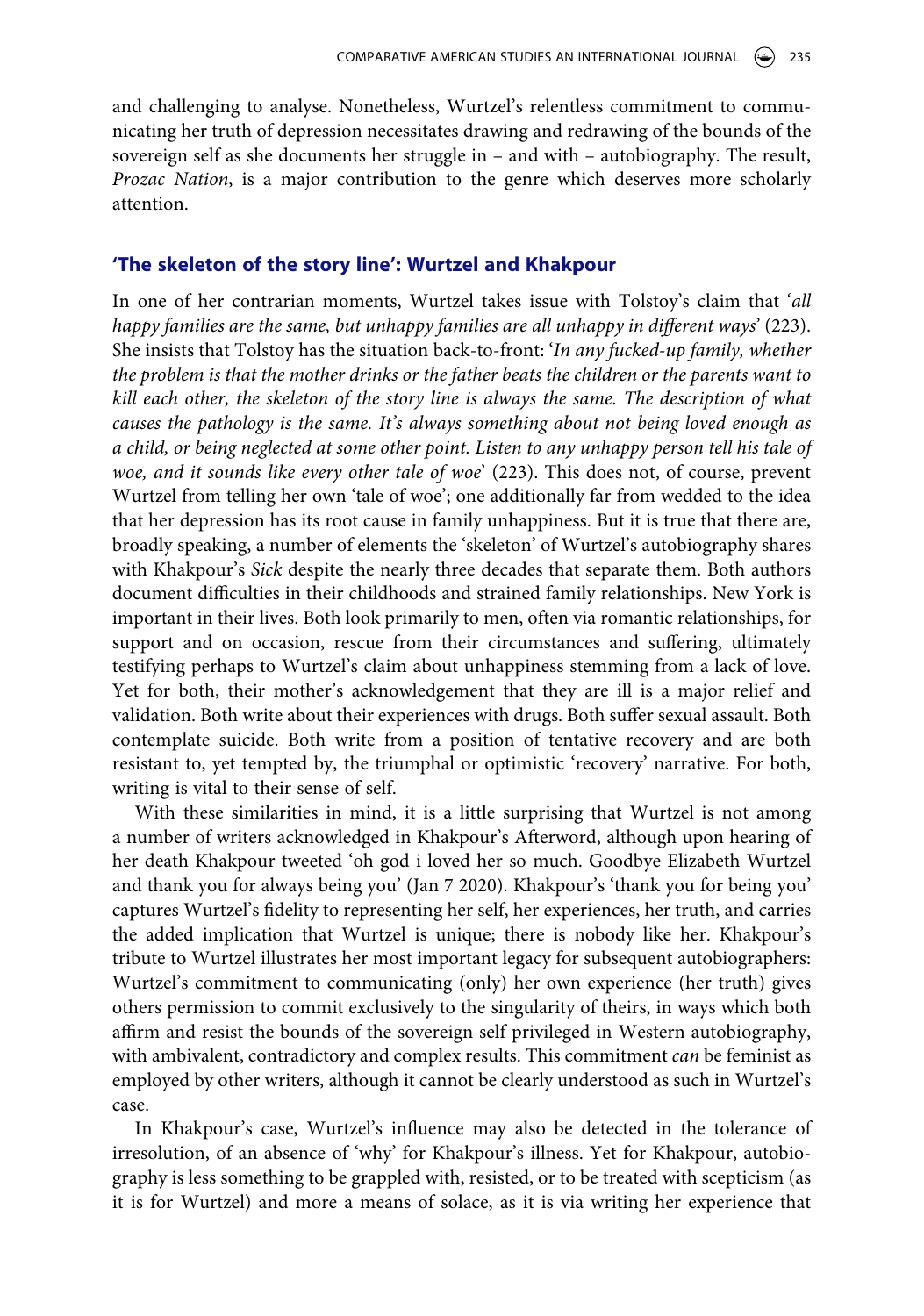and challenging to analyse. Nonetheless, Wurtzel's relentless commitment to communicating her truth of depression necessitates drawing and redrawing of the bounds of the sovereign self as she documents her struggle in – and with – autobiography. The result, *Prozac Nation*, is a major contribution to the genre which deserves more scholarly attention.

# **'The skeleton of the story line': Wurtzel and Khakpour**

In one of her contrarian moments, Wurtzel takes issue with Tolstoy's claim that '*all happy families are the same, but unhappy families are all unhappy in different ways*' (223). She insists that Tolstoy has the situation back-to-front: '*In any fucked-up family, whether the problem is that the mother drinks or the father beats the children or the parents want to kill each other, the skeleton of the story line is always the same. The description of what causes the pathology is the same. It's always something about not being loved enough as a child, or being neglected at some other point. Listen to any unhappy person tell his tale of woe, and it sounds like every other tale of woe*' (223). This does not, of course, prevent Wurtzel from telling her own 'tale of woe'; one additionally far from wedded to the idea that her depression has its root cause in family unhappiness. But it is true that there are, broadly speaking, a number of elements the 'skeleton' of Wurtzel's autobiography shares with Khakpour's *Sick* despite the nearly three decades that separate them. Both authors document difficulties in their childhoods and strained family relationships. New York is important in their lives. Both look primarily to men, often via romantic relationships, for support and on occasion, rescue from their circumstances and suffering, ultimately testifying perhaps to Wurtzel's claim about unhappiness stemming from a lack of love. Yet for both, their mother's acknowledgement that they are ill is a major relief and validation. Both write about their experiences with drugs. Both suffer sexual assault. Both contemplate suicide. Both write from a position of tentative recovery and are both resistant to, yet tempted by, the triumphal or optimistic 'recovery' narrative. For both, writing is vital to their sense of self.

With these similarities in mind, it is a little surprising that Wurtzel is not among a number of writers acknowledged in Khakpour's Afterword, although upon hearing of her death Khakpour tweeted 'oh god i loved her so much. Goodbye Elizabeth Wurtzel and thank you for always being you' (Jan 7 2020). Khakpour's 'thank you for being you' captures Wurtzel's fidelity to representing her self, her experiences, her truth, and carries the added implication that Wurtzel is unique; there is nobody like her. Khakpour's tribute to Wurtzel illustrates her most important legacy for subsequent autobiographers: Wurtzel's commitment to communicating (only) her own experience (her truth) gives others permission to commit exclusively to the singularity of theirs, in ways which both affirm and resist the bounds of the sovereign self privileged in Western autobiography, with ambivalent, contradictory and complex results. This commitment *can* be feminist as employed by other writers, although it cannot be clearly understood as such in Wurtzel's case.

In Khakpour's case, Wurtzel's influence may also be detected in the tolerance of irresolution, of an absence of 'why' for Khakpour's illness. Yet for Khakpour, autobiography is less something to be grappled with, resisted, or to be treated with scepticism (as it is for Wurtzel) and more a means of solace, as it is via writing her experience that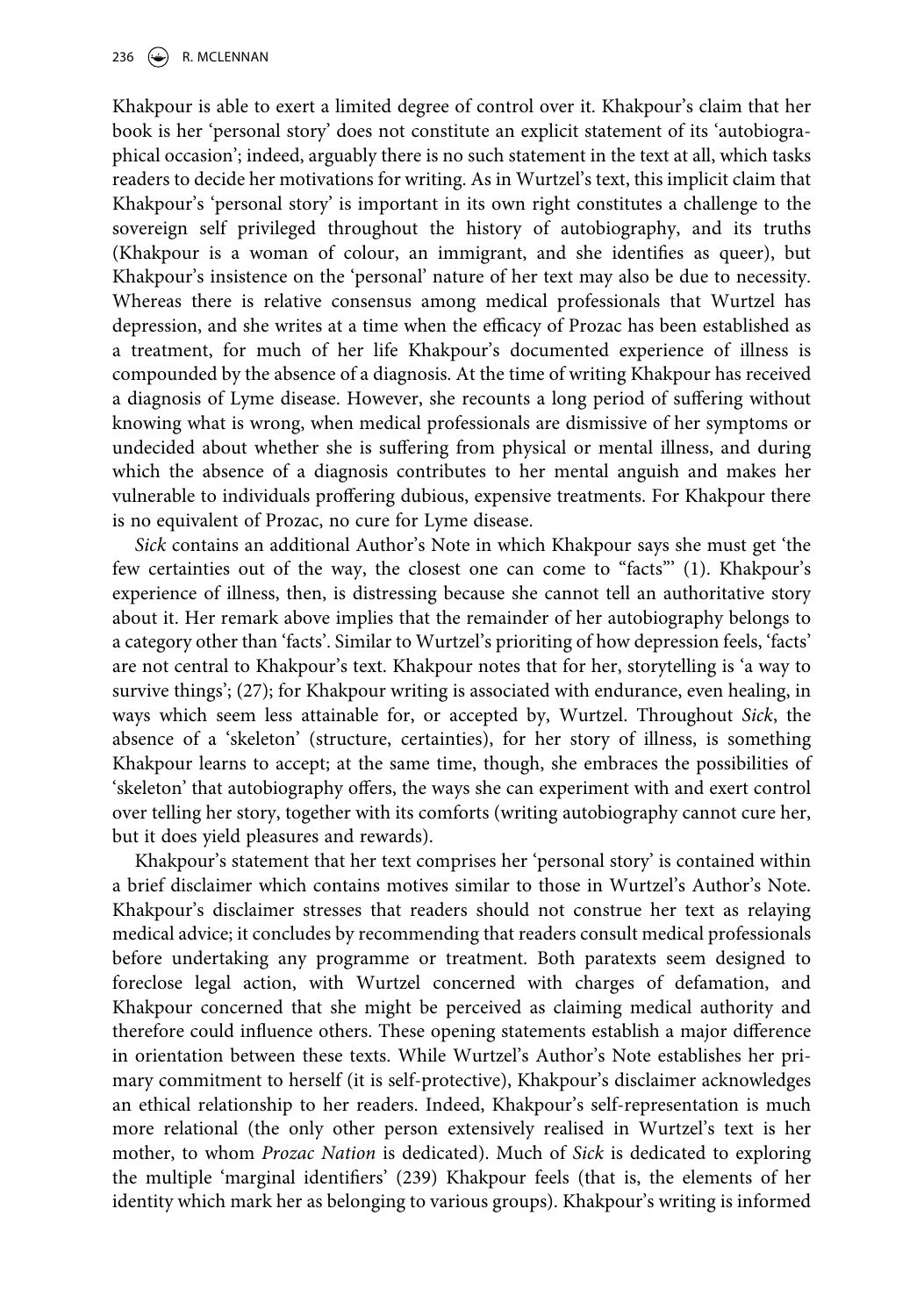Khakpour is able to exert a limited degree of control over it. Khakpour's claim that her book is her 'personal story' does not constitute an explicit statement of its 'autobiographical occasion'; indeed, arguably there is no such statement in the text at all, which tasks readers to decide her motivations for writing. As in Wurtzel's text, this implicit claim that Khakpour's 'personal story' is important in its own right constitutes a challenge to the sovereign self privileged throughout the history of autobiography, and its truths (Khakpour is a woman of colour, an immigrant, and she identifies as queer), but Khakpour's insistence on the 'personal' nature of her text may also be due to necessity. Whereas there is relative consensus among medical professionals that Wurtzel has depression, and she writes at a time when the efficacy of Prozac has been established as a treatment, for much of her life Khakpour's documented experience of illness is compounded by the absence of a diagnosis. At the time of writing Khakpour has received a diagnosis of Lyme disease. However, she recounts a long period of suffering without knowing what is wrong, when medical professionals are dismissive of her symptoms or undecided about whether she is suffering from physical or mental illness, and during which the absence of a diagnosis contributes to her mental anguish and makes her vulnerable to individuals proffering dubious, expensive treatments. For Khakpour there is no equivalent of Prozac, no cure for Lyme disease.

*Sick* contains an additional Author's Note in which Khakpour says she must get 'the few certainties out of the way, the closest one can come to "facts"' (1). Khakpour's experience of illness, then, is distressing because she cannot tell an authoritative story about it. Her remark above implies that the remainder of her autobiography belongs to a category other than 'facts'. Similar to Wurtzel's prioriting of how depression feels, 'facts' are not central to Khakpour's text. Khakpour notes that for her, storytelling is 'a way to survive things'; (27); for Khakpour writing is associated with endurance, even healing, in ways which seem less attainable for, or accepted by, Wurtzel. Throughout *Sick*, the absence of a 'skeleton' (structure, certainties), for her story of illness, is something Khakpour learns to accept; at the same time, though, she embraces the possibilities of 'skeleton' that autobiography offers, the ways she can experiment with and exert control over telling her story, together with its comforts (writing autobiography cannot cure her, but it does yield pleasures and rewards).

Khakpour's statement that her text comprises her 'personal story' is contained within a brief disclaimer which contains motives similar to those in Wurtzel's Author's Note. Khakpour's disclaimer stresses that readers should not construe her text as relaying medical advice; it concludes by recommending that readers consult medical professionals before undertaking any programme or treatment. Both paratexts seem designed to foreclose legal action, with Wurtzel concerned with charges of defamation, and Khakpour concerned that she might be perceived as claiming medical authority and therefore could influence others. These opening statements establish a major difference in orientation between these texts. While Wurtzel's Author's Note establishes her primary commitment to herself (it is self-protective), Khakpour's disclaimer acknowledges an ethical relationship to her readers. Indeed, Khakpour's self-representation is much more relational (the only other person extensively realised in Wurtzel's text is her mother, to whom *Prozac Nation* is dedicated). Much of *Sick* is dedicated to exploring the multiple 'marginal identifiers' (239) Khakpour feels (that is, the elements of her identity which mark her as belonging to various groups). Khakpour's writing is informed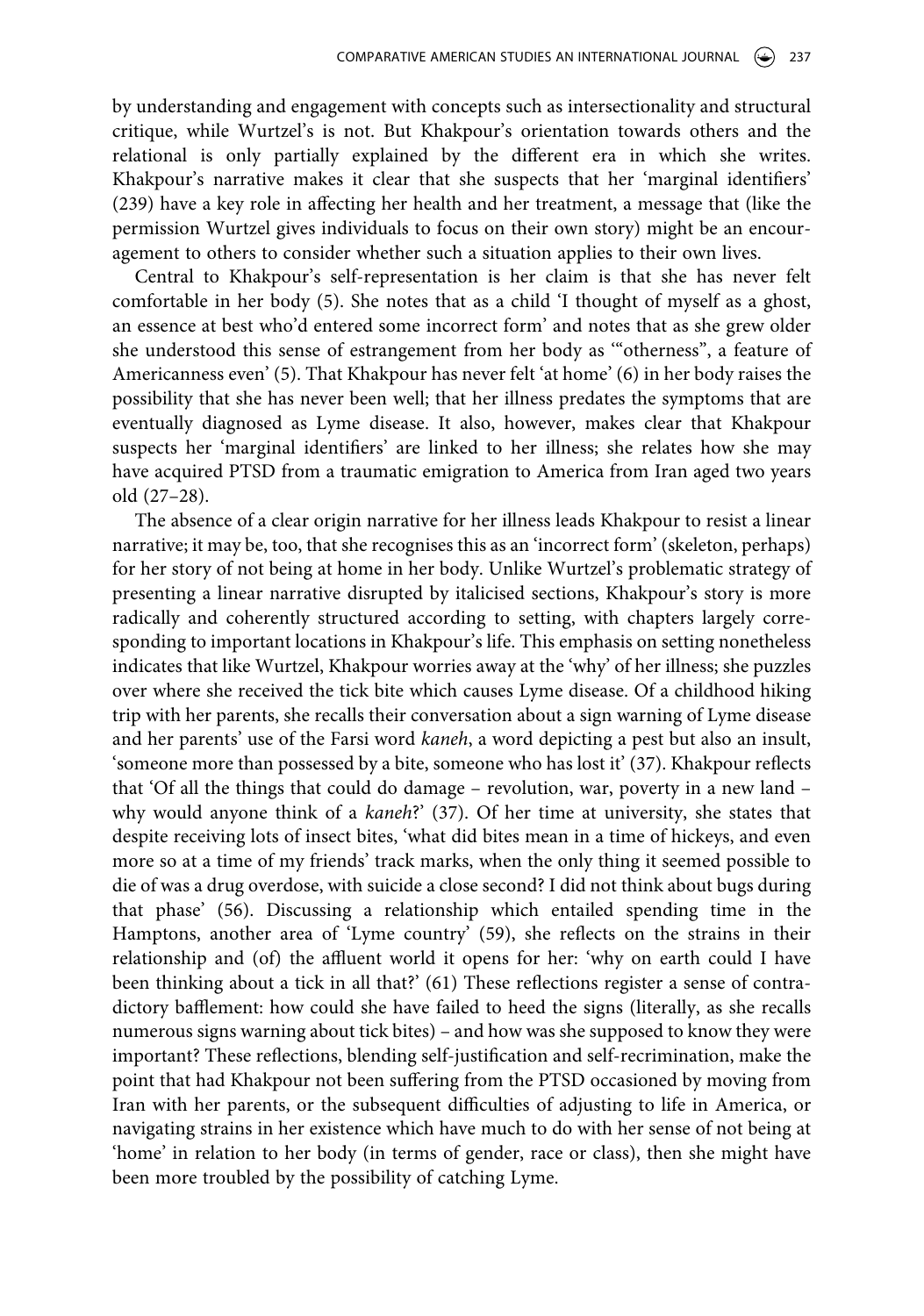by understanding and engagement with concepts such as intersectionality and structural critique, while Wurtzel's is not. But Khakpour's orientation towards others and the relational is only partially explained by the different era in which she writes. Khakpour's narrative makes it clear that she suspects that her 'marginal identifiers' (239) have a key role in affecting her health and her treatment, a message that (like the permission Wurtzel gives individuals to focus on their own story) might be an encouragement to others to consider whether such a situation applies to their own lives.

Central to Khakpour's self-representation is her claim is that she has never felt comfortable in her body (5). She notes that as a child 'I thought of myself as a ghost, an essence at best who'd entered some incorrect form' and notes that as she grew older she understood this sense of estrangement from her body as '"otherness", a feature of Americanness even' (5). That Khakpour has never felt 'at home' (6) in her body raises the possibility that she has never been well; that her illness predates the symptoms that are eventually diagnosed as Lyme disease. It also, however, makes clear that Khakpour suspects her 'marginal identifiers' are linked to her illness; she relates how she may have acquired PTSD from a traumatic emigration to America from Iran aged two years old (27–28).

The absence of a clear origin narrative for her illness leads Khakpour to resist a linear narrative; it may be, too, that she recognises this as an 'incorrect form' (skeleton, perhaps) for her story of not being at home in her body. Unlike Wurtzel's problematic strategy of presenting a linear narrative disrupted by italicised sections, Khakpour's story is more radically and coherently structured according to setting, with chapters largely corresponding to important locations in Khakpour's life. This emphasis on setting nonetheless indicates that like Wurtzel, Khakpour worries away at the 'why' of her illness; she puzzles over where she received the tick bite which causes Lyme disease. Of a childhood hiking trip with her parents, she recalls their conversation about a sign warning of Lyme disease and her parents' use of the Farsi word *kaneh*, a word depicting a pest but also an insult, 'someone more than possessed by a bite, someone who has lost it' (37). Khakpour reflects that 'Of all the things that could do damage – revolution, war, poverty in a new land – why would anyone think of a *kaneh*?' (37). Of her time at university, she states that despite receiving lots of insect bites, 'what did bites mean in a time of hickeys, and even more so at a time of my friends' track marks, when the only thing it seemed possible to die of was a drug overdose, with suicide a close second? I did not think about bugs during that phase' (56). Discussing a relationship which entailed spending time in the Hamptons, another area of 'Lyme country' (59), she reflects on the strains in their relationship and (of) the affluent world it opens for her: 'why on earth could I have been thinking about a tick in all that?' (61) These reflections register a sense of contradictory bafflement: how could she have failed to heed the signs (literally, as she recalls numerous signs warning about tick bites) – and how was she supposed to know they were important? These reflections, blending self-justification and self-recrimination, make the point that had Khakpour not been suffering from the PTSD occasioned by moving from Iran with her parents, or the subsequent difficulties of adjusting to life in America, or navigating strains in her existence which have much to do with her sense of not being at 'home' in relation to her body (in terms of gender, race or class), then she might have been more troubled by the possibility of catching Lyme.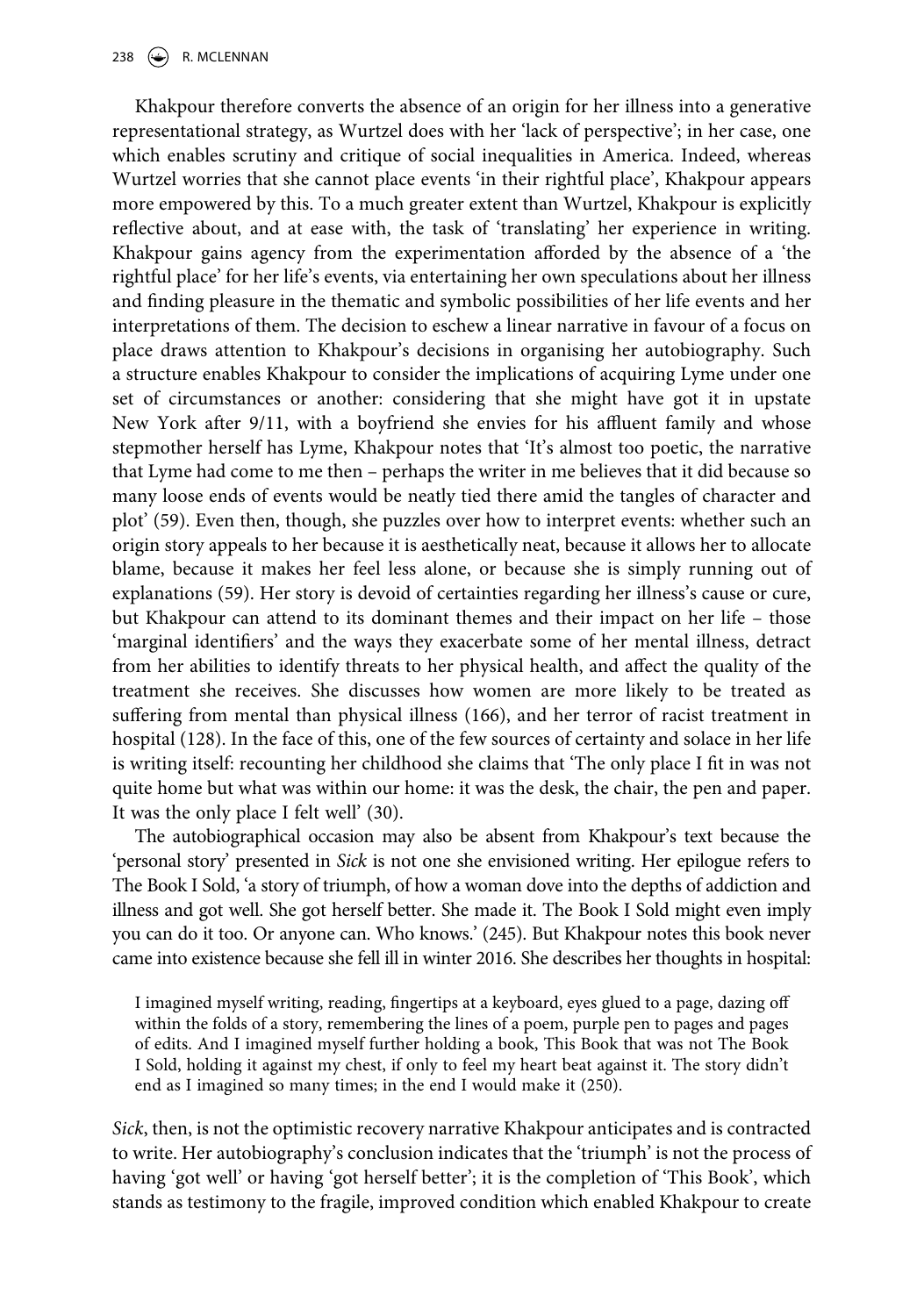Khakpour therefore converts the absence of an origin for her illness into a generative representational strategy, as Wurtzel does with her 'lack of perspective'; in her case, one which enables scrutiny and critique of social inequalities in America. Indeed, whereas Wurtzel worries that she cannot place events 'in their rightful place', Khakpour appears more empowered by this. To a much greater extent than Wurtzel, Khakpour is explicitly reflective about, and at ease with, the task of 'translating' her experience in writing. Khakpour gains agency from the experimentation afforded by the absence of a 'the rightful place' for her life's events, via entertaining her own speculations about her illness and finding pleasure in the thematic and symbolic possibilities of her life events and her interpretations of them. The decision to eschew a linear narrative in favour of a focus on place draws attention to Khakpour's decisions in organising her autobiography. Such a structure enables Khakpour to consider the implications of acquiring Lyme under one set of circumstances or another: considering that she might have got it in upstate New York after 9/11, with a boyfriend she envies for his affluent family and whose stepmother herself has Lyme, Khakpour notes that 'It's almost too poetic, the narrative that Lyme had come to me then – perhaps the writer in me believes that it did because so many loose ends of events would be neatly tied there amid the tangles of character and plot' (59). Even then, though, she puzzles over how to interpret events: whether such an origin story appeals to her because it is aesthetically neat, because it allows her to allocate blame, because it makes her feel less alone, or because she is simply running out of explanations (59). Her story is devoid of certainties regarding her illness's cause or cure, but Khakpour can attend to its dominant themes and their impact on her life – those 'marginal identifiers' and the ways they exacerbate some of her mental illness, detract from her abilities to identify threats to her physical health, and affect the quality of the treatment she receives. She discusses how women are more likely to be treated as suffering from mental than physical illness (166), and her terror of racist treatment in hospital (128). In the face of this, one of the few sources of certainty and solace in her life is writing itself: recounting her childhood she claims that 'The only place I fit in was not quite home but what was within our home: it was the desk, the chair, the pen and paper. It was the only place I felt well' (30).

The autobiographical occasion may also be absent from Khakpour's text because the 'personal story' presented in *Sick* is not one she envisioned writing. Her epilogue refers to The Book I Sold, 'a story of triumph, of how a woman dove into the depths of addiction and illness and got well. She got herself better. She made it. The Book I Sold might even imply you can do it too. Or anyone can. Who knows.' (245). But Khakpour notes this book never came into existence because she fell ill in winter 2016. She describes her thoughts in hospital:

I imagined myself writing, reading, fingertips at a keyboard, eyes glued to a page, dazing off within the folds of a story, remembering the lines of a poem, purple pen to pages and pages of edits. And I imagined myself further holding a book, This Book that was not The Book I Sold, holding it against my chest, if only to feel my heart beat against it. The story didn't end as I imagined so many times; in the end I would make it (250).

*Sick*, then, is not the optimistic recovery narrative Khakpour anticipates and is contracted to write. Her autobiography's conclusion indicates that the 'triumph' is not the process of having 'got well' or having 'got herself better'; it is the completion of 'This Book', which stands as testimony to the fragile, improved condition which enabled Khakpour to create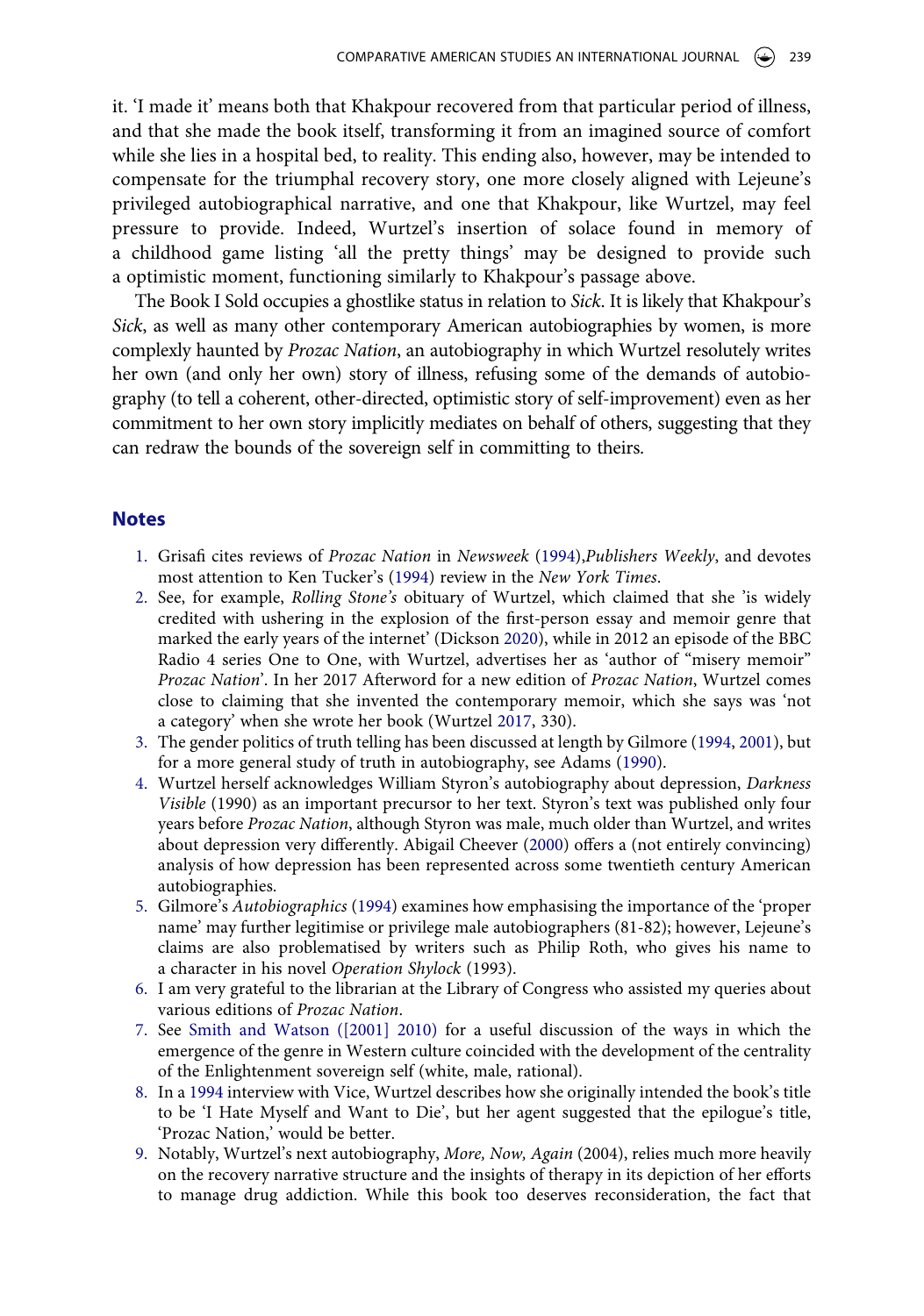it. 'I made it' means both that Khakpour recovered from that particular period of illness, and that she made the book itself, transforming it from an imagined source of comfort while she lies in a hospital bed, to reality. This ending also, however, may be intended to compensate for the triumphal recovery story, one more closely aligned with Lejeune's privileged autobiographical narrative, and one that Khakpour, like Wurtzel, may feel pressure to provide. Indeed, Wurtzel's insertion of solace found in memory of a childhood game listing 'all the pretty things' may be designed to provide such a optimistic moment, functioning similarly to Khakpour's passage above.

The Book I Sold occupies a ghostlike status in relation to *Sick*. It is likely that Khakpour's *Sick*, as well as many other contemporary American autobiographies by women, is more complexly haunted by *Prozac Nation*, an autobiography in which Wurtzel resolutely writes her own (and only her own) story of illness, refusing some of the demands of autobiography (to tell a coherent, other-directed, optimistic story of self-improvement) even as her commitment to her own story implicitly mediates on behalf of others, suggesting that they can redraw the bounds of the sovereign self in committing to theirs.

#### **Notes**

- <span id="page-19-12"></span><span id="page-19-0"></span>1. Grisafi cites reviews of *Prozac Nation* in *Newsweek* ([1994](#page-21-1)),*Publishers Weekly*, and devotes most attention to Ken Tucker's ([1994\)](#page-21-2) review in the *New York Times*.
- <span id="page-19-11"></span><span id="page-19-1"></span>2. See, for example, *Rolling Stone's* obituary of Wurtzel, which claimed that she 'is widely credited with ushering in the explosion of the first-person essay and memoir genre that marked the early years of the internet' (Dickson [2020](#page-20-10)), while in 2012 an episode of the BBC Radio 4 series One to One, with Wurtzel, advertises her as 'author of "misery memoir" *Prozac Nation*'. In her 2017 Afterword for a new edition of *Prozac Nation*, Wurtzel comes close to claiming that she invented the contemporary memoir, which she says was 'not a category' when she wrote her book (Wurtzel [2017,](#page-21-3) 330).
- <span id="page-19-13"></span><span id="page-19-9"></span><span id="page-19-2"></span>3. The gender politics of truth telling has been discussed at length by Gilmore [\(1994,](#page-20-11) [2001\)](#page-20-7), but for a more general study of truth in autobiography, see Adams [\(1990\)](#page-20-12).
- <span id="page-19-10"></span><span id="page-19-3"></span>4. Wurtzel herself acknowledges William Styron's autobiography about depression, *Darkness Visible* (1990) as an important precursor to her text. Styron's text was published only four years before *Prozac Nation*, although Styron was male, much older than Wurtzel, and writes about depression very differently. Abigail Cheever ([2000\)](#page-20-13) offers a (not entirely convincing) analysis of how depression has been represented across some twentieth century American autobiographies.
- <span id="page-19-4"></span>5. Gilmore's *Autobiographics* ([1994](#page-20-11)) examines how emphasising the importance of the 'proper name' may further legitimise or privilege male autobiographers (81-82); however, Lejeune's claims are also problematised by writers such as Philip Roth, who gives his name to a character in his novel *Operation Shylock* (1993).
- <span id="page-19-5"></span>6. I am very grateful to the librarian at the Library of Congress who assisted my queries about various editions of *Prozac Nation*.
- <span id="page-19-6"></span>7. See [Smith and Watson \(\[2001\] 2010\)](#page-20-2) for a useful discussion of the ways in which the emergence of the genre in Western culture coincided with the development of the centrality of the Enlightenment sovereign self (white, male, rational).
- <span id="page-19-7"></span>8. In a [1994](#page-20-14) interview with Vice, Wurtzel describes how she originally intended the book's title to be 'I Hate Myself and Want to Die', but her agent suggested that the epilogue's title, 'Prozac Nation,' would be better.
- <span id="page-19-8"></span>9. Notably, Wurtzel's next autobiography, *More, Now, Again* (2004), relies much more heavily on the recovery narrative structure and the insights of therapy in its depiction of her efforts to manage drug addiction. While this book too deserves reconsideration, the fact that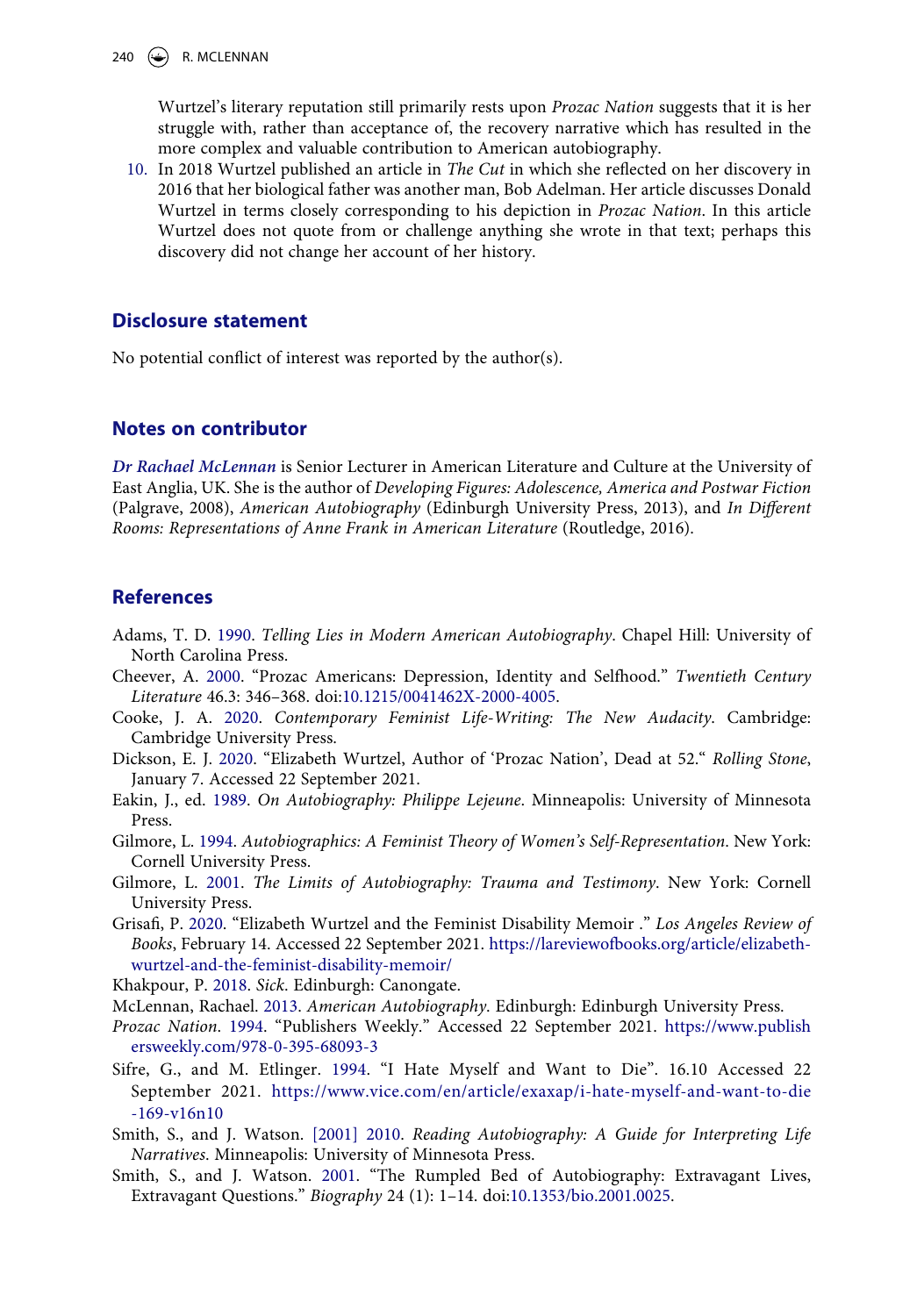Wurtzel's literary reputation still primarily rests upon *Prozac Nation* suggests that it is her struggle with, rather than acceptance of, the recovery narrative which has resulted in the more complex and valuable contribution to American autobiography.

<span id="page-20-9"></span>10. In 2018 Wurtzel published an article in *The Cut* in which she reflected on her discovery in 2016 that her biological father was another man, Bob Adelman. Her article discusses Donald Wurtzel in terms closely corresponding to his depiction in *Prozac Nation*. In this article Wurtzel does not quote from or challenge anything she wrote in that text; perhaps this discovery did not change her account of her history.

# **Disclosure statement**

No potential conflict of interest was reported by the author(s).

# **Notes on contributor**

*Dr Rachael McLennan* is Senior Lecturer in American Literature and Culture at the University of East Anglia, UK. She is the author of *Developing Figures: Adolescence, America and Postwar Fiction*  (Palgrave, 2008), *American Autobiography* (Edinburgh University Press, 2013), and *In Different Rooms: Representations of Anne Frank in American Literature* (Routledge, 2016).

# **References**

- <span id="page-20-12"></span>Adams, T. D. [1990](#page-19-9). *Telling Lies in Modern American Autobiography*. Chapel Hill: University of North Carolina Press.
- <span id="page-20-13"></span>Cheever, A. [2000](#page-19-10). "Prozac Americans: Depression, Identity and Selfhood." *Twentieth Century Literature* 46.3: 346–368. doi:[10.1215/0041462X-2000-4005.](https://doi.org/10.1215/0041462X-2000-4005)
- <span id="page-20-8"></span>Cooke, J. A. [2020](#page-3-0). *Contemporary Feminist Life-Writing: The New Audacity*. Cambridge: Cambridge University Press.
- <span id="page-20-10"></span>Dickson, E. J. [2020](#page-19-11). "Elizabeth Wurtzel, Author of 'Prozac Nation', Dead at 52." *Rolling Stone*, January 7. Accessed 22 September 2021.
- <span id="page-20-5"></span>Eakin, J., ed. [1989.](#page-3-1) *On Autobiography: Philippe Lejeune*. Minneapolis: University of Minnesota Press.
- <span id="page-20-11"></span>Gilmore, L. [1994](#page-19-4). *Autobiographics: A Feminist Theory of Women's Self-Representation*. New York: Cornell University Press.
- <span id="page-20-7"></span>Gilmore, L. [2001](#page-3-2). *The Limits of Autobiography: Trauma and Testimony*. New York: Cornell University Press.
- <span id="page-20-1"></span>Grisafi, P. [2020](#page-1-0). "Elizabeth Wurtzel and the Feminist Disability Memoir ." *Los Angeles Review of Books*, February 14. Accessed 22 September 2021. [https://lareviewofbooks.org/article/elizabeth](https://lareviewofbooks.org/article/elizabeth-wurtzel-and-the-feminist-disability-memoir/)[wurtzel-and-the-feminist-disability-memoir/](https://lareviewofbooks.org/article/elizabeth-wurtzel-and-the-feminist-disability-memoir/)

<span id="page-20-4"></span>Khakpour, P. [2018.](#page-2-0) *Sick*. Edinburgh: Canongate.

- <span id="page-20-6"></span>McLennan, Rachael. [2013](#page-3-3). *American Autobiography*. Edinburgh: Edinburgh University Press.
- <span id="page-20-0"></span>*Prozac Nation*. [1994.](#page-1-1) "Publishers Weekly." Accessed 22 September 2021. [https://www.publish](https://www.publishersweekly.com/978-0-395-68093-3) [ersweekly.com/978-0-395-68093-3](https://www.publishersweekly.com/978-0-395-68093-3)
- <span id="page-20-14"></span>Sifre, G., and M. Etlinger. [1994.](#page-19-7) "I Hate Myself and Want to Die". 16.10 Accessed 22 September 2021. [https://www.vice.com/en/article/exaxap/i-hate-myself-and-want-to-die](https://www.vice.com/en/article/exaxap/i-hate-myself-and-want-to-die-169-v16n10) [-169-v16n10](https://www.vice.com/en/article/exaxap/i-hate-myself-and-want-to-die-169-v16n10)
- <span id="page-20-2"></span>Smith, S., and J. Watson. [\[2001\] 2010.](#page-2-1) *Reading Autobiography: A Guide for Interpreting Life Narratives*. Minneapolis: University of Minnesota Press.
- <span id="page-20-3"></span>Smith, S., and J. Watson. [2001](#page-2-2). "The Rumpled Bed of Autobiography: Extravagant Lives, Extravagant Questions." *Biography* 24 (1): 1–14. doi:[10.1353/bio.2001.0025](https://doi.org/10.1353/bio.2001.0025).